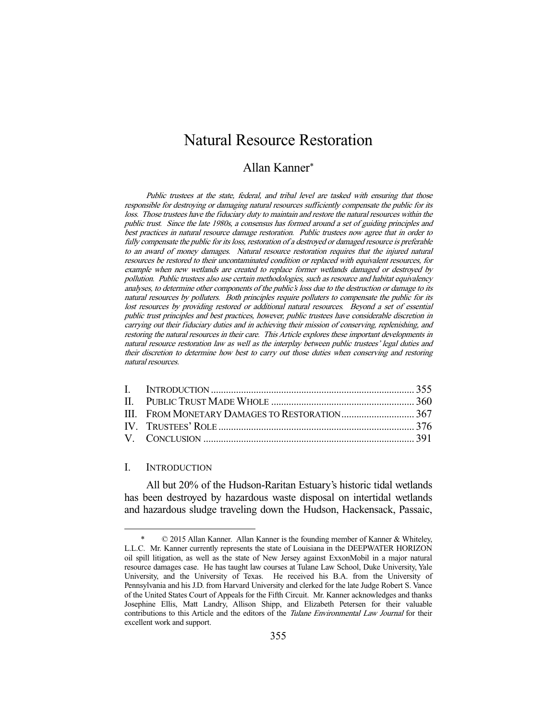# Natural Resource Restoration

# Allan Kanner\*

Public trustees at the state, federal, and tribal level are tasked with ensuring that those responsible for destroying or damaging natural resources sufficiently compensate the public for its loss. Those trustees have the fiduciary duty to maintain and restore the natural resources within the public trust. Since the late 1980s, a consensus has formed around a set of guiding principles and best practices in natural resource damage restoration. Public trustees now agree that in order to fully compensate the public for its loss, restoration of a destroyed or damaged resource is preferable to an award of money damages. Natural resource restoration requires that the injured natural resources be restored to their uncontaminated condition or replaced with equivalent resources, for example when new wetlands are created to replace former wetlands damaged or destroyed by pollution. Public trustees also use certain methodologies, such as resource and habitat equivalency analyses, to determine other components of the public's loss due to the destruction or damage to its natural resources by polluters. Both principles require polluters to compensate the public for its lost resources by providing restored or additional natural resources. Beyond a set of essential public trust principles and best practices, however, public trustees have considerable discretion in carrying out their fiduciary duties and in achieving their mission of conserving, replenishing, and restoring the natural resources in their care. This Article explores these important developments in natural resource restoration law as well as the interplay between public trustees' legal duties and their discretion to determine how best to carry out those duties when conserving and restoring natural resources.

### I. INTRODUCTION

-

 All but 20% of the Hudson-Raritan Estuary's historic tidal wetlands has been destroyed by hazardous waste disposal on intertidal wetlands and hazardous sludge traveling down the Hudson, Hackensack, Passaic,

 <sup>\* © 2015</sup> Allan Kanner. Allan Kanner is the founding member of Kanner & Whiteley, L.L.C. Mr. Kanner currently represents the state of Louisiana in the DEEPWATER HORIZON oil spill litigation, as well as the state of New Jersey against ExxonMobil in a major natural resource damages case. He has taught law courses at Tulane Law School, Duke University, Yale University, and the University of Texas. He received his B.A. from the University of Pennsylvania and his J.D. from Harvard University and clerked for the late Judge Robert S. Vance of the United States Court of Appeals for the Fifth Circuit. Mr. Kanner acknowledges and thanks Josephine Ellis, Matt Landry, Allison Shipp, and Elizabeth Petersen for their valuable contributions to this Article and the editors of the Tulane Environmental Law Journal for their excellent work and support.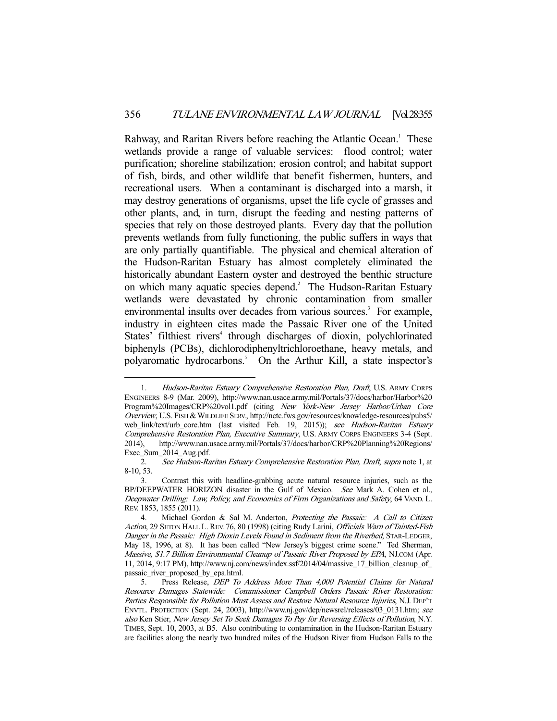Rahway, and Raritan Rivers before reaching the Atlantic Ocean.<sup>1</sup> These wetlands provide a range of valuable services: flood control; water purification; shoreline stabilization; erosion control; and habitat support of fish, birds, and other wildlife that benefit fishermen, hunters, and recreational users. When a contaminant is discharged into a marsh, it may destroy generations of organisms, upset the life cycle of grasses and other plants, and, in turn, disrupt the feeding and nesting patterns of species that rely on those destroyed plants. Every day that the pollution prevents wetlands from fully functioning, the public suffers in ways that are only partially quantifiable. The physical and chemical alteration of the Hudson-Raritan Estuary has almost completely eliminated the historically abundant Eastern oyster and destroyed the benthic structure on which many aquatic species depend.<sup>2</sup> The Hudson-Raritan Estuary wetlands were devastated by chronic contamination from smaller environmental insults over decades from various sources.<sup>3</sup> For example, industry in eighteen cites made the Passaic River one of the United States' filthiest rivers<sup>4</sup> through discharges of dioxin, polychlorinated biphenyls (PCBs), dichlorodiphenyltrichloroethane, heavy metals, and polyaromatic hydrocarbons.<sup>5</sup> On the Arthur Kill, a state inspector's

<sup>1.</sup> Hudson-Raritan Estuary Comprehensive Restoration Plan, Draft, U.S. ARMY CORPS ENGINEERS 8-9 (Mar. 2009), http://www.nan.usace.army.mil/Portals/37/docs/harbor/Harbor%20 Program%20Images/CRP%20vol1.pdf (citing New York-New Jersey Harbor/Urban Core Overview, U.S. FISH & WILDLIFE SERV., http://nctc.fws.gov/resources/knowledge-resources/pubs5/ web\_link/text/urb\_core.htm (last visited Feb. 19, 2015)); see Hudson-Raritan Estuary Comprehensive Restoration Plan, Executive Summary, U.S. ARMY CORPS ENGINEERS 3-4 (Sept. 2014), http://www.nan.usace.army.mil/Portals/37/docs/harbor/CRP%20Planning%20Regions/ Exec\_Sum\_2014\_Aug.pdf.

 <sup>2.</sup> See Hudson-Raritan Estuary Comprehensive Restoration Plan, Draft, supra note 1, at 8-10, 53.

 <sup>3.</sup> Contrast this with headline-grabbing acute natural resource injuries, such as the BP/DEEPWATER HORIZON disaster in the Gulf of Mexico. See Mark A. Cohen et al., Deepwater Drilling: Law, Policy, and Economics of Firm Organizations and Safety, 64 VAND. L. REV. 1853, 1855 (2011).

<sup>4.</sup> Michael Gordon & Sal M. Anderton, Protecting the Passaic: A Call to Citizen Action, 29 SETON HALL L. REV. 76, 80 (1998) (citing Rudy Larini, Officials Warn of Tainted-Fish Danger in the Passaic: High Dioxin Levels Found in Sediment from the Riverbed, STAR-LEDGER, May 18, 1996, at 8). It has been called "New Jersey's biggest crime scene." Ted Sherman, Massive, \$1.7 Billion Environmental Cleanup of Passaic River Proposed by EPA, NJ.COM (Apr. 11, 2014, 9:17 PM), http://www.nj.com/news/index.ssf/2014/04/massive\_17\_billion\_cleanup\_of\_ passaic\_river\_proposed\_by\_epa.html.

 <sup>5.</sup> Press Release, DEP To Address More Than 4,000 Potential Claims for Natural Resource Damages Statewide: Commissioner Campbell Orders Passaic River Restoration: Parties Responsible for Pollution Must Assess and Restore Natural Resource Injuries, N.J. DEP'T ENVTL. PROTECTION (Sept. 24, 2003), http://www.nj.gov/dep/newsrel/releases/03\_0131.htm; see also Ken Stier, New Jersey Set To Seek Damages To Pay for Reversing Effects of Pollution, N.Y. TIMES, Sept. 10, 2003, at B5. Also contributing to contamination in the Hudson-Raritan Estuary are facilities along the nearly two hundred miles of the Hudson River from Hudson Falls to the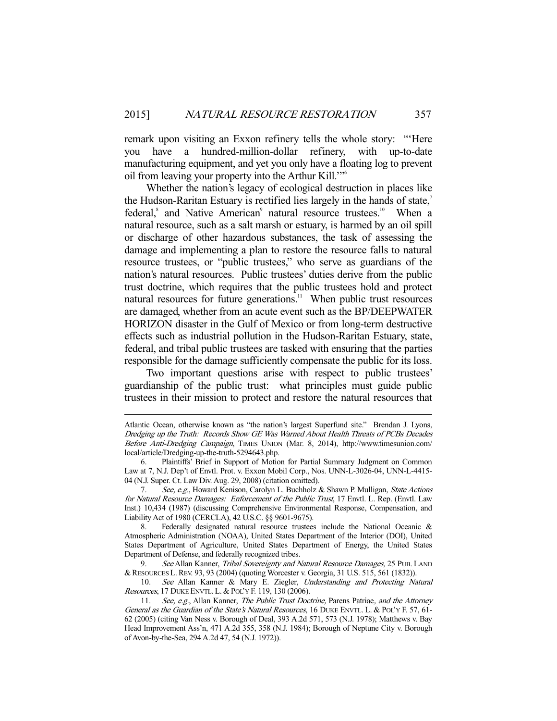remark upon visiting an Exxon refinery tells the whole story: "'Here you have a hundred-million-dollar refinery, with up-to-date manufacturing equipment, and yet you only have a floating log to prevent oil from leaving your property into the Arthur Kill.'"6

 Whether the nation's legacy of ecological destruction in places like the Hudson-Raritan Estuary is rectified lies largely in the hands of state,<sup>7</sup> federal,<sup>8</sup> and Native American<sup>9</sup> natural resource trustees.<sup>10</sup> When a natural resource, such as a salt marsh or estuary, is harmed by an oil spill or discharge of other hazardous substances, the task of assessing the damage and implementing a plan to restore the resource falls to natural resource trustees, or "public trustees," who serve as guardians of the nation's natural resources. Public trustees' duties derive from the public trust doctrine, which requires that the public trustees hold and protect natural resources for future generations.<sup>11</sup> When public trust resources are damaged, whether from an acute event such as the BP/DEEPWATER HORIZON disaster in the Gulf of Mexico or from long-term destructive effects such as industrial pollution in the Hudson-Raritan Estuary, state, federal, and tribal public trustees are tasked with ensuring that the parties responsible for the damage sufficiently compensate the public for its loss.

 Two important questions arise with respect to public trustees' guardianship of the public trust: what principles must guide public trustees in their mission to protect and restore the natural resources that

Atlantic Ocean, otherwise known as "the nation's largest Superfund site." Brendan J. Lyons, Dredging up the Truth: Records Show GE Was Warned About Health Threats of PCBs Decades Before Anti-Dredging Campaign, TIMES UNION (Mar. 8, 2014), http://www.timesunion.com/ local/article/Dredging-up-the-truth-5294643.php.

 <sup>6.</sup> Plaintiffs' Brief in Support of Motion for Partial Summary Judgment on Common Law at 7, N.J. Dep't of Envtl. Prot. v. Exxon Mobil Corp., Nos. UNN-L-3026-04, UNN-L-4415- 04 (N.J. Super. Ct. Law Div. Aug. 29, 2008) (citation omitted).

<sup>7.</sup> See, e.g., Howard Kenison, Carolyn L. Buchholz & Shawn P. Mulligan, State Actions for Natural Resource Damages: Enforcement of the Public Trust, 17 Envtl. L. Rep. (Envtl. Law Inst.) 10,434 (1987) (discussing Comprehensive Environmental Response, Compensation, and Liability Act of 1980 (CERCLA), 42 U.S.C. §§ 9601-9675).

 <sup>8.</sup> Federally designated natural resource trustees include the National Oceanic & Atmospheric Administration (NOAA), United States Department of the Interior (DOI), United States Department of Agriculture, United States Department of Energy, the United States Department of Defense, and federally recognized tribes.

<sup>9.</sup> See Allan Kanner, *Tribal Sovereignty and Natural Resource Damages*, 25 PUB. LAND &RESOURCES L.REV. 93, 93 (2004) (quoting Worcester v. Georgia, 31 U.S. 515, 561 (1832)).

<sup>10.</sup> See Allan Kanner & Mary E. Ziegler, Understanding and Protecting Natural Resources, 17 DUKE ENVTL. L. & POL'Y F. 119, 130 (2006).

<sup>11.</sup> See, e.g., Allan Kanner, The Public Trust Doctrine, Parens Patriae, and the Attorney General as the Guardian of the State's Natural Resources, 16 DUKE ENVTL. L. & POL'Y F. 57, 61- 62 (2005) (citing Van Ness v. Borough of Deal, 393 A.2d 571, 573 (N.J. 1978); Matthews v. Bay Head Improvement Ass'n, 471 A.2d 355, 358 (N.J. 1984); Borough of Neptune City v. Borough of Avon-by-the-Sea, 294 A.2d 47, 54 (N.J. 1972)).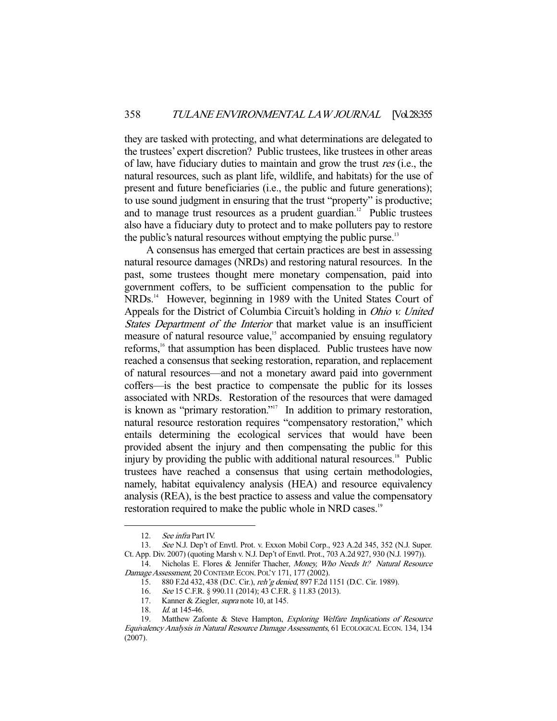they are tasked with protecting, and what determinations are delegated to the trustees' expert discretion? Public trustees, like trustees in other areas of law, have fiduciary duties to maintain and grow the trust res (i.e., the natural resources, such as plant life, wildlife, and habitats) for the use of present and future beneficiaries (i.e., the public and future generations); to use sound judgment in ensuring that the trust "property" is productive; and to manage trust resources as a prudent guardian.<sup>12</sup> Public trustees also have a fiduciary duty to protect and to make polluters pay to restore the public's natural resources without emptying the public purse.<sup>13</sup>

 A consensus has emerged that certain practices are best in assessing natural resource damages (NRDs) and restoring natural resources. In the past, some trustees thought mere monetary compensation, paid into government coffers, to be sufficient compensation to the public for NRDs.<sup>14</sup> However, beginning in 1989 with the United States Court of Appeals for the District of Columbia Circuit's holding in Ohio v. United States Department of the Interior that market value is an insufficient measure of natural resource value,<sup>15</sup> accompanied by ensuing regulatory reforms,<sup>16</sup> that assumption has been displaced. Public trustees have now reached a consensus that seeking restoration, reparation, and replacement of natural resources—and not a monetary award paid into government coffers—is the best practice to compensate the public for its losses associated with NRDs. Restoration of the resources that were damaged is known as "primary restoration."<sup>17</sup> In addition to primary restoration, natural resource restoration requires "compensatory restoration," which entails determining the ecological services that would have been provided absent the injury and then compensating the public for this injury by providing the public with additional natural resources.<sup>18</sup> Public trustees have reached a consensus that using certain methodologies, namely, habitat equivalency analysis (HEA) and resource equivalency analysis (REA), is the best practice to assess and value the compensatory restoration required to make the public whole in NRD cases.<sup>19</sup>

-

13. See N.J. Dep't of Envtl. Prot. v. Exxon Mobil Corp., 923 A.2d 345, 352 (N.J. Super. Ct. App. Div. 2007) (quoting Marsh v. N.J. Dep't of Envtl. Prot., 703 A.2d 927, 930 (N.J. 1997)).

 <sup>12.</sup> See infra Part IV.

<sup>14.</sup> Nicholas E. Flores & Jennifer Thacher, Money, Who Needs It? Natural Resource Damage Assessment, 20 CONTEMP. ECON. POL'Y 171, 177 (2002).

 <sup>15. 880</sup> F.2d 432, 438 (D.C. Cir.), reh'g denied, 897 F.2d 1151 (D.C. Cir. 1989).

<sup>16.</sup> See 15 C.F.R. § 990.11 (2014); 43 C.F.R. § 11.83 (2013).

<sup>17.</sup> Kanner & Ziegler, *supra* note 10, at 145.

<sup>18.</sup> *Id.* at 145-46.

<sup>19.</sup> Matthew Zafonte & Steve Hampton, Exploring Welfare Implications of Resource Equivalency Analysis in Natural Resource Damage Assessments, 61 ECOLOGICAL ECON. 134, 134 (2007).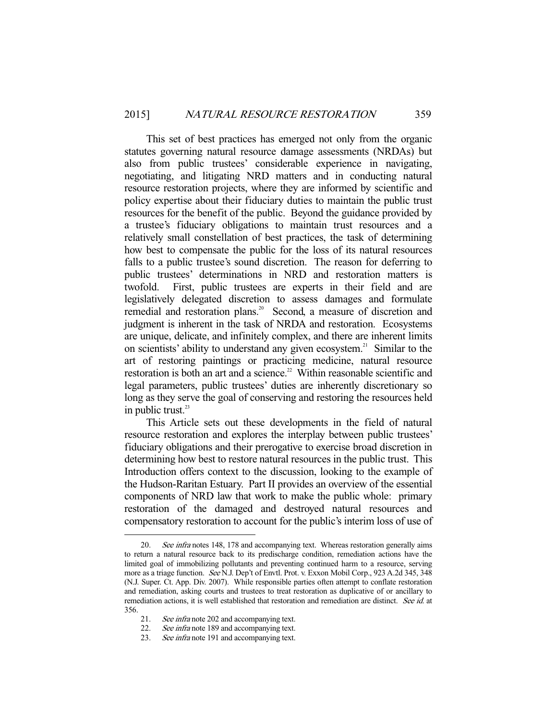This set of best practices has emerged not only from the organic statutes governing natural resource damage assessments (NRDAs) but also from public trustees' considerable experience in navigating, negotiating, and litigating NRD matters and in conducting natural resource restoration projects, where they are informed by scientific and policy expertise about their fiduciary duties to maintain the public trust resources for the benefit of the public. Beyond the guidance provided by a trustee's fiduciary obligations to maintain trust resources and a relatively small constellation of best practices, the task of determining how best to compensate the public for the loss of its natural resources falls to a public trustee's sound discretion. The reason for deferring to public trustees' determinations in NRD and restoration matters is twofold. First, public trustees are experts in their field and are legislatively delegated discretion to assess damages and formulate remedial and restoration plans.<sup>20</sup> Second, a measure of discretion and judgment is inherent in the task of NRDA and restoration. Ecosystems are unique, delicate, and infinitely complex, and there are inherent limits on scientists' ability to understand any given ecosystem.<sup>21</sup> Similar to the art of restoring paintings or practicing medicine, natural resource restoration is both an art and a science.<sup>22</sup> Within reasonable scientific and legal parameters, public trustees' duties are inherently discretionary so long as they serve the goal of conserving and restoring the resources held in public trust. $23$ 

 This Article sets out these developments in the field of natural resource restoration and explores the interplay between public trustees' fiduciary obligations and their prerogative to exercise broad discretion in determining how best to restore natural resources in the public trust. This Introduction offers context to the discussion, looking to the example of the Hudson-Raritan Estuary. Part II provides an overview of the essential components of NRD law that work to make the public whole: primary restoration of the damaged and destroyed natural resources and compensatory restoration to account for the public's interim loss of use of

<sup>20.</sup> See infra notes 148, 178 and accompanying text. Whereas restoration generally aims to return a natural resource back to its predischarge condition, remediation actions have the limited goal of immobilizing pollutants and preventing continued harm to a resource, serving more as a triage function. See N.J. Dep't of Envtl. Prot. v. Exxon Mobil Corp., 923 A.2d 345, 348 (N.J. Super. Ct. App. Div. 2007). While responsible parties often attempt to conflate restoration and remediation, asking courts and trustees to treat restoration as duplicative of or ancillary to remediation actions, it is well established that restoration and remediation are distinct. See id. at 356.

<sup>21.</sup> See infra note 202 and accompanying text.

<sup>22.</sup> See infra note 189 and accompanying text.

<sup>23.</sup> See infra note 191 and accompanying text.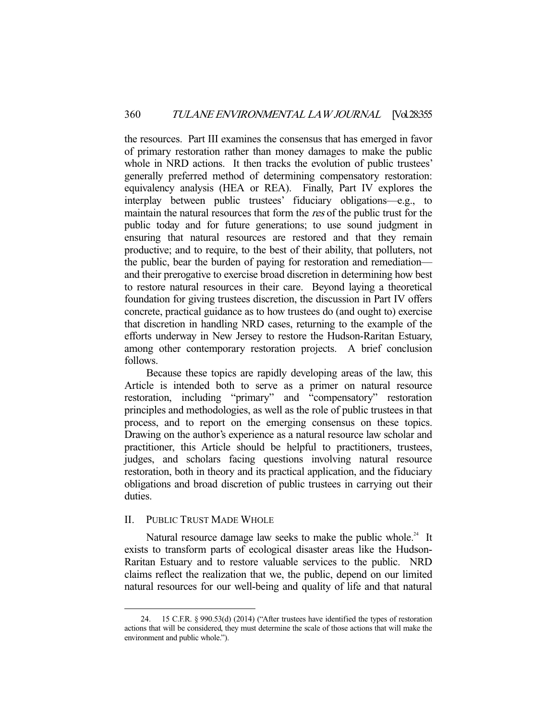the resources. Part III examines the consensus that has emerged in favor of primary restoration rather than money damages to make the public whole in NRD actions. It then tracks the evolution of public trustees' generally preferred method of determining compensatory restoration: equivalency analysis (HEA or REA). Finally, Part IV explores the interplay between public trustees' fiduciary obligations—e.g., to maintain the natural resources that form the res of the public trust for the public today and for future generations; to use sound judgment in ensuring that natural resources are restored and that they remain productive; and to require, to the best of their ability, that polluters, not the public, bear the burden of paying for restoration and remediation and their prerogative to exercise broad discretion in determining how best to restore natural resources in their care. Beyond laying a theoretical foundation for giving trustees discretion, the discussion in Part IV offers concrete, practical guidance as to how trustees do (and ought to) exercise that discretion in handling NRD cases, returning to the example of the efforts underway in New Jersey to restore the Hudson-Raritan Estuary, among other contemporary restoration projects. A brief conclusion follows.

 Because these topics are rapidly developing areas of the law, this Article is intended both to serve as a primer on natural resource restoration, including "primary" and "compensatory" restoration principles and methodologies, as well as the role of public trustees in that process, and to report on the emerging consensus on these topics. Drawing on the author's experience as a natural resource law scholar and practitioner, this Article should be helpful to practitioners, trustees, judges, and scholars facing questions involving natural resource restoration, both in theory and its practical application, and the fiduciary obligations and broad discretion of public trustees in carrying out their duties.

### II. PUBLIC TRUST MADE WHOLE

-

Natural resource damage law seeks to make the public whole.<sup>24</sup> It exists to transform parts of ecological disaster areas like the Hudson-Raritan Estuary and to restore valuable services to the public. NRD claims reflect the realization that we, the public, depend on our limited natural resources for our well-being and quality of life and that natural

 <sup>24. 15</sup> C.F.R. § 990.53(d) (2014) ("After trustees have identified the types of restoration actions that will be considered, they must determine the scale of those actions that will make the environment and public whole.").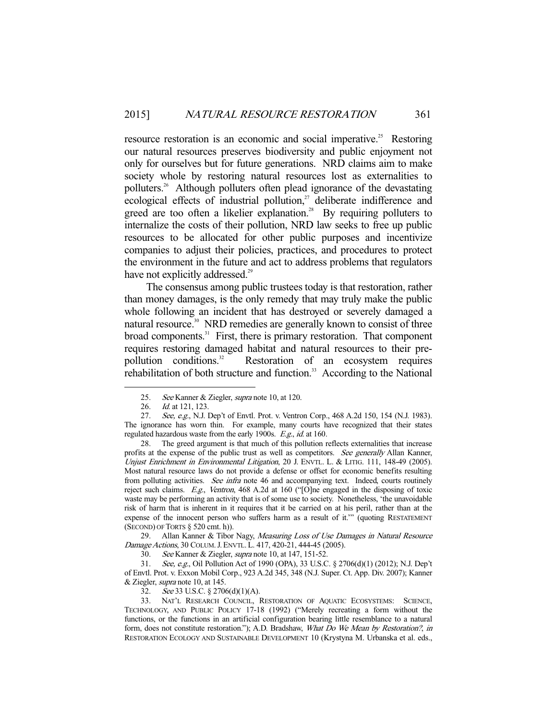resource restoration is an economic and social imperative.<sup>25</sup> Restoring our natural resources preserves biodiversity and public enjoyment not only for ourselves but for future generations. NRD claims aim to make society whole by restoring natural resources lost as externalities to polluters.26 Although polluters often plead ignorance of the devastating ecological effects of industrial pollution,<sup>27</sup> deliberate indifference and greed are too often a likelier explanation.<sup>28</sup> By requiring polluters to internalize the costs of their pollution, NRD law seeks to free up public resources to be allocated for other public purposes and incentivize companies to adjust their policies, practices, and procedures to protect the environment in the future and act to address problems that regulators have not explicitly addressed.<sup>29</sup>

 The consensus among public trustees today is that restoration, rather than money damages, is the only remedy that may truly make the public whole following an incident that has destroyed or severely damaged a natural resource.<sup>30</sup> NRD remedies are generally known to consist of three broad components.<sup>31</sup> First, there is primary restoration. That component requires restoring damaged habitat and natural resources to their prepollution conditions.<sup>32</sup> Restoration of an ecosystem requires rehabilitation of both structure and function.<sup>33</sup> According to the National

-

 28. The greed argument is that much of this pollution reflects externalities that increase profits at the expense of the public trust as well as competitors. See generally Allan Kanner, Unjust Enrichment in Environmental Litigation, 20 J. ENVTL. L. & LITIG. 111, 148-49 (2005). Most natural resource laws do not provide a defense or offset for economic benefits resulting from polluting activities. See infra note 46 and accompanying text. Indeed, courts routinely reject such claims. E.g., Ventron, 468 A.2d at 160 ("[O]ne engaged in the disposing of toxic waste may be performing an activity that is of some use to society. Nonetheless, 'the unavoidable risk of harm that is inherent in it requires that it be carried on at his peril, rather than at the expense of the innocent person who suffers harm as a result of it.'" (quoting RESTATEMENT (SECOND) OF TORTS § 520 cmt. h)).

29. Allan Kanner & Tibor Nagy, Measuring Loss of Use Damages in Natural Resource Damage Actions, 30 COLUM.J.ENVTL. L. 417, 420-21, 444-45 (2005).

30. See Kanner & Ziegler, supra note 10, at 147, 151-52.

31. See, e.g., Oil Pollution Act of 1990 (OPA), 33 U.S.C. § 2706(d)(1) (2012); N.J. Dep't of Envtl. Prot. v. Exxon Mobil Corp., 923 A.2d 345, 348 (N.J. Super. Ct. App. Div. 2007); Kanner & Ziegler, supra note 10, at 145.

32. See 33 U.S.C. § 2706(d)(1)(A).

 33. NAT'L RESEARCH COUNCIL, RESTORATION OF AQUATIC ECOSYSTEMS: SCIENCE, TECHNOLOGY, AND PUBLIC POLICY 17-18 (1992) ("Merely recreating a form without the functions, or the functions in an artificial configuration bearing little resemblance to a natural form, does not constitute restoration."); A.D. Bradshaw, What Do We Mean by Restoration?, in RESTORATION ECOLOGY AND SUSTAINABLE DEVELOPMENT 10 (Krystyna M. Urbanska et al. eds.,

 <sup>25.</sup> See Kanner & Ziegler, supra note 10, at 120.

<sup>26.</sup> *Id.* at 121, 123.

<sup>27.</sup> See, e.g., N.J. Dep't of Envtl. Prot. v. Ventron Corp., 468 A.2d 150, 154 (N.J. 1983). The ignorance has worn thin. For example, many courts have recognized that their states regulated hazardous waste from the early 1900s. E.g., id. at 160.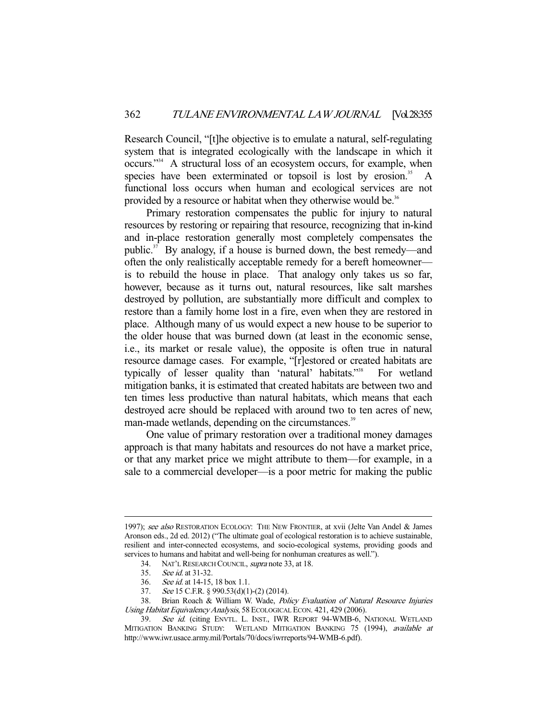Research Council, "[t]he objective is to emulate a natural, self-regulating system that is integrated ecologically with the landscape in which it occurs."34 A structural loss of an ecosystem occurs, for example, when species have been exterminated or topsoil is lost by erosion. $35$  A functional loss occurs when human and ecological services are not provided by a resource or habitat when they otherwise would be.<sup>36</sup>

 Primary restoration compensates the public for injury to natural resources by restoring or repairing that resource, recognizing that in-kind and in-place restoration generally most completely compensates the public. $37$  By analogy, if a house is burned down, the best remedy—and often the only realistically acceptable remedy for a bereft homeowner is to rebuild the house in place. That analogy only takes us so far, however, because as it turns out, natural resources, like salt marshes destroyed by pollution, are substantially more difficult and complex to restore than a family home lost in a fire, even when they are restored in place. Although many of us would expect a new house to be superior to the older house that was burned down (at least in the economic sense, i.e., its market or resale value), the opposite is often true in natural resource damage cases. For example, "[r]estored or created habitats are typically of lesser quality than 'natural' habitats."<sup>38</sup> For wetland mitigation banks, it is estimated that created habitats are between two and ten times less productive than natural habitats, which means that each destroyed acre should be replaced with around two to ten acres of new, man-made wetlands, depending on the circumstances.<sup>39</sup>

 One value of primary restoration over a traditional money damages approach is that many habitats and resources do not have a market price, or that any market price we might attribute to them—for example, in a sale to a commercial developer—is a poor metric for making the public

<sup>1997);</sup> see also RESTORATION ECOLOGY: THE NEW FRONTIER, at xvii (Jelte Van Andel & James Aronson eds., 2d ed. 2012) ("The ultimate goal of ecological restoration is to achieve sustainable, resilient and inter-connected ecosystems, and socio-ecological systems, providing goods and services to humans and habitat and well-being for nonhuman creatures as well.").

<sup>34.</sup> NAT'L RESEARCH COUNCIL, *supra* note 33, at 18.<br>35. See id. at 31-32.

See *id.* at 31-32.

<sup>36.</sup> See id. at 14-15, 18 box 1.1.<br>37. See 15 C.F.R. § 990.53(d)(1) 37. See 15 C.F.R. § 990.53(d)(1)-(2) (2014).<br>38. Brian Roach & William W. Wade. Pol.

Brian Roach & William W. Wade, Policy Evaluation of Natural Resource Injuries Using Habitat Equivalency Analysis, 58 ECOLOGICAL ECON. 421, 429 (2006).

<sup>39.</sup> See id. (citing ENVTL. L. INST., IWR REPORT 94-WMB-6, NATIONAL WETLAND MITIGATION BANKING STUDY: WETLAND MITIGATION BANKING 75 (1994), available at http://www.iwr.usace.army.mil/Portals/70/docs/iwrreports/94-WMB-6.pdf).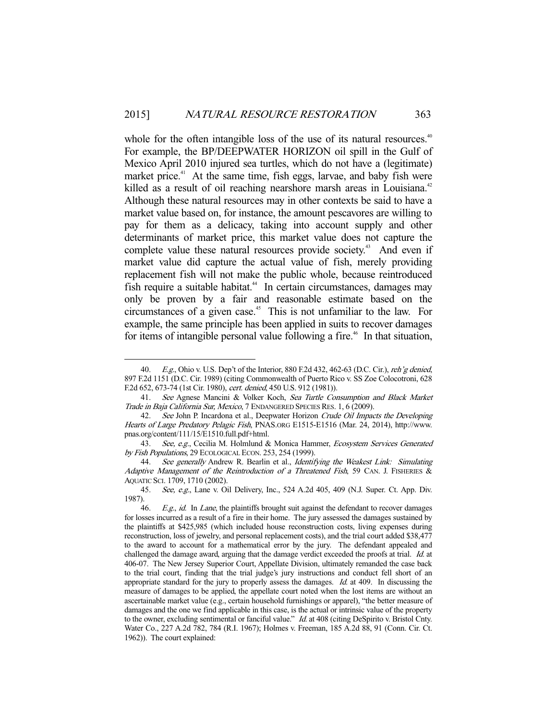whole for the often intangible loss of the use of its natural resources.<sup>40</sup> For example, the BP/DEEPWATER HORIZON oil spill in the Gulf of Mexico April 2010 injured sea turtles, which do not have a (legitimate) market price. $41$  At the same time, fish eggs, larvae, and baby fish were killed as a result of oil reaching nearshore marsh areas in Louisiana.<sup>42</sup> Although these natural resources may in other contexts be said to have a market value based on, for instance, the amount pescavores are willing to pay for them as a delicacy, taking into account supply and other determinants of market price, this market value does not capture the complete value these natural resources provide society.<sup>43</sup> And even if market value did capture the actual value of fish, merely providing replacement fish will not make the public whole, because reintroduced fish require a suitable habitat.<sup>44</sup> In certain circumstances, damages may only be proven by a fair and reasonable estimate based on the circumstances of a given case.<sup>45</sup> This is not unfamiliar to the law. For example, the same principle has been applied in suits to recover damages for items of intangible personal value following a fire.<sup> $46$ </sup> In that situation,

<sup>40.</sup> E.g., Ohio v. U.S. Dep't of the Interior, 880 F.2d 432, 462-63 (D.C. Cir.), reh'g denied, 897 F.2d 1151 (D.C. Cir. 1989) (citing Commonwealth of Puerto Rico v. SS Zoe Colocotroni, 628 F.2d 652, 673-74 (1st Cir. 1980), cert. denied, 450 U.S. 912 (1981)).

<sup>41.</sup> See Agnese Mancini & Volker Koch, Sea Turtle Consumption and Black Market Trade in Baja California Sur, Mexico, 7 ENDANGERED SPECIES RES. 1, 6 (2009).

<sup>42.</sup> See John P. Incardona et al., Deepwater Horizon Crude Oil Impacts the Developing Hearts of Large Predatory Pelagic Fish, PNAS.ORG E1515-E1516 (Mar. 24, 2014), http://www. pnas.org/content/111/15/E1510.full.pdf+html.

<sup>43.</sup> See, e.g., Cecilia M. Holmlund & Monica Hammer, Ecosystem Services Generated by Fish Populations, 29 ECOLOGICAL ECON. 253, 254 (1999).

<sup>44.</sup> See generally Andrew R. Bearlin et al., Identifying the Weakest Link: Simulating Adaptive Management of the Reintroduction of a Threatened Fish, 59 CAN. J. FISHERIES & AQUATIC SCI. 1709, 1710 (2002).

 <sup>45.</sup> See, e.g., Lane v. Oil Delivery, Inc., 524 A.2d 405, 409 (N.J. Super. Ct. App. Div. 1987).

 <sup>46.</sup> E.g., id. In Lane, the plaintiffs brought suit against the defendant to recover damages for losses incurred as a result of a fire in their home. The jury assessed the damages sustained by the plaintiffs at \$425,985 (which included house reconstruction costs, living expenses during reconstruction, loss of jewelry, and personal replacement costs), and the trial court added \$38,477 to the award to account for a mathematical error by the jury. The defendant appealed and challenged the damage award, arguing that the damage verdict exceeded the proofs at trial. Id. at 406-07. The New Jersey Superior Court, Appellate Division, ultimately remanded the case back to the trial court, finding that the trial judge's jury instructions and conduct fell short of an appropriate standard for the jury to properly assess the damages. *Id.* at 409. In discussing the measure of damages to be applied, the appellate court noted when the lost items are without an ascertainable market value (e.g., certain household furnishings or apparel), "the better measure of damages and the one we find applicable in this case, is the actual or intrinsic value of the property to the owner, excluding sentimental or fanciful value." *Id.* at 408 (citing DeSpirito v. Bristol Cnty. Water Co., 227 A.2d 782, 784 (R.I. 1967); Holmes v. Freeman, 185 A.2d 88, 91 (Conn. Cir. Ct. 1962)). The court explained: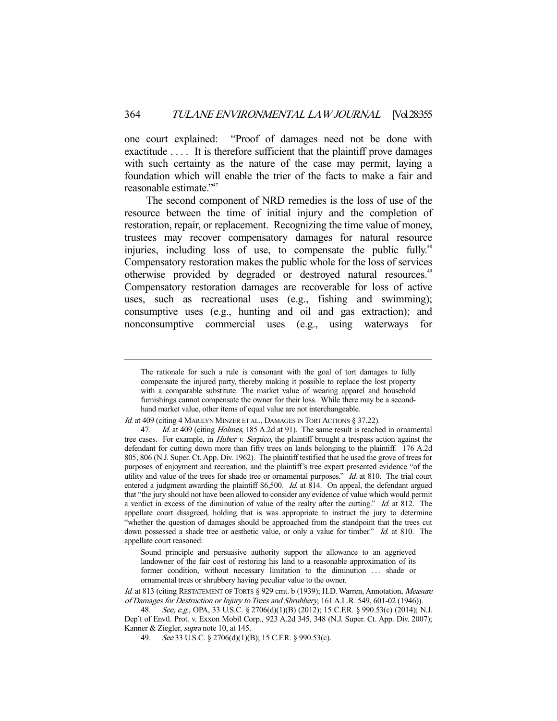one court explained: "Proof of damages need not be done with exactitude .... It is therefore sufficient that the plaintiff prove damages with such certainty as the nature of the case may permit, laying a foundation which will enable the trier of the facts to make a fair and reasonable estimate."47

 The second component of NRD remedies is the loss of use of the resource between the time of initial injury and the completion of restoration, repair, or replacement. Recognizing the time value of money, trustees may recover compensatory damages for natural resource injuries, including loss of use, to compensate the public fully.<sup>48</sup> Compensatory restoration makes the public whole for the loss of services otherwise provided by degraded or destroyed natural resources.<sup>49</sup> Compensatory restoration damages are recoverable for loss of active uses, such as recreational uses (e.g., fishing and swimming); consumptive uses (e.g., hunting and oil and gas extraction); and nonconsumptive commercial uses (e.g., using waterways for

The rationale for such a rule is consonant with the goal of tort damages to fully compensate the injured party, thereby making it possible to replace the lost property with a comparable substitute. The market value of wearing apparel and household furnishings cannot compensate the owner for their loss. While there may be a secondhand market value, other items of equal value are not interchangeable.

Id. at 409 (citing 4 MARILYN MINZER ET AL., DAMAGES IN TORT ACTIONS § 37.22).

<sup>47.</sup> Id. at 409 (citing Holmes, 185 A.2d at 91). The same result is reached in ornamental tree cases. For example, in *Huber v. Serpico*, the plaintiff brought a trespass action against the defendant for cutting down more than fifty trees on lands belonging to the plaintiff. 176 A.2d 805, 806 (N.J. Super. Ct. App. Div. 1962). The plaintiff testified that he used the grove of trees for purposes of enjoyment and recreation, and the plaintiff's tree expert presented evidence "of the utility and value of the trees for shade tree or ornamental purposes." *Id.* at 810. The trial court entered a judgment awarding the plaintiff \$6,500. Id. at 814. On appeal, the defendant argued that "the jury should not have been allowed to consider any evidence of value which would permit a verdict in excess of the diminution of value of the realty after the cutting." Id. at 812. The appellate court disagreed, holding that is was appropriate to instruct the jury to determine "whether the question of damages should be approached from the standpoint that the trees cut down possessed a shade tree or aesthetic value, or only a value for timber." Id. at 810. The appellate court reasoned:

Sound principle and persuasive authority support the allowance to an aggrieved landowner of the fair cost of restoring his land to a reasonable approximation of its former condition, without necessary limitation to the diminution ... shade or ornamental trees or shrubbery having peculiar value to the owner.

Id. at 813 (citing RESTATEMENT OF TORTS § 929 cmt. b (1939); H.D. Warren, Annotation, Measure of Damages for Destruction or Injury to Trees and Shrubbery, 161 A.L.R. 549, 601-02 (1946)).

<sup>48.</sup> See, e.g., OPA, 33 U.S.C. § 2706(d)(1)(B) (2012); 15 C.F.R. § 990.53(c) (2014); N.J. Dep't of Envtl. Prot. v. Exxon Mobil Corp., 923 A.2d 345, 348 (N.J. Super. Ct. App. Div. 2007); Kanner & Ziegler, supra note 10, at 145.

 <sup>49.</sup> See 33 U.S.C. § 2706(d)(1)(B); 15 C.F.R. § 990.53(c).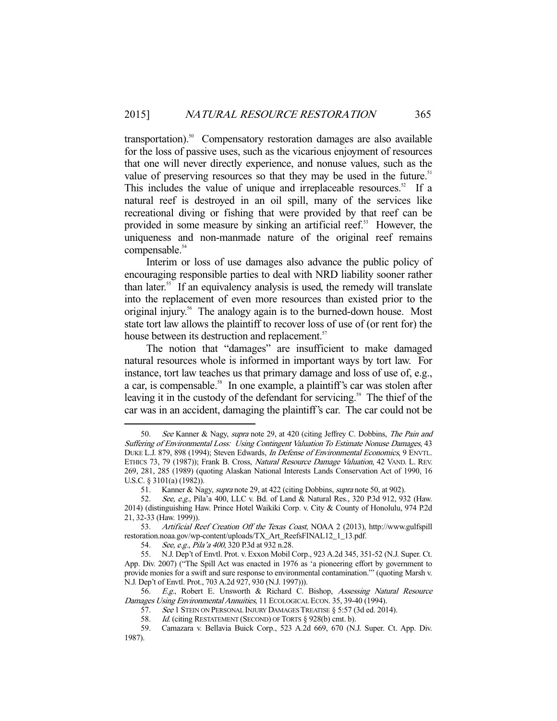transportation).<sup>50</sup> Compensatory restoration damages are also available for the loss of passive uses, such as the vicarious enjoyment of resources that one will never directly experience, and nonuse values, such as the value of preserving resources so that they may be used in the future.<sup>51</sup> This includes the value of unique and irreplaceable resources.<sup>52</sup> If a natural reef is destroyed in an oil spill, many of the services like recreational diving or fishing that were provided by that reef can be provided in some measure by sinking an artificial reef.<sup>53</sup> However, the uniqueness and non-manmade nature of the original reef remains compensable.<sup>54</sup>

 Interim or loss of use damages also advance the public policy of encouraging responsible parties to deal with NRD liability sooner rather than later.55 If an equivalency analysis is used, the remedy will translate into the replacement of even more resources than existed prior to the original injury.<sup>56</sup> The analogy again is to the burned-down house. Most state tort law allows the plaintiff to recover loss of use of (or rent for) the house between its destruction and replacement.<sup>57</sup>

 The notion that "damages" are insufficient to make damaged natural resources whole is informed in important ways by tort law. For instance, tort law teaches us that primary damage and loss of use of, e.g., a car, is compensable.<sup>58</sup> In one example, a plaintiff's car was stolen after leaving it in the custody of the defendant for servicing.<sup>59</sup> The thief of the car was in an accident, damaging the plaintiff's car. The car could not be

<sup>50.</sup> See Kanner & Nagy, supra note 29, at 420 (citing Jeffrey C. Dobbins, The Pain and Suffering of Environmental Loss: Using Contingent Valuation To Estimate Nonuse Damages, 43 DUKE L.J. 879, 898 (1994); Steven Edwards, In Defense of Environmental Economics, 9 ENVTL. ETHICS 73, 79 (1987)); Frank B. Cross, Natural Resource Damage Valuation, 42 VAND. L. REV. 269, 281, 285 (1989) (quoting Alaskan National Interests Lands Conservation Act of 1990, 16 U.S.C. § 3101(a) (1982)).

<sup>51.</sup> Kanner & Nagy, *supra* note 29, at 422 (citing Dobbins, *supra* note 50, at 902).

<sup>52.</sup> See, e.g., Pila'a 400, LLC v. Bd. of Land & Natural Res., 320 P.3d 912, 932 (Haw. 2014) (distinguishing Haw. Prince Hotel Waikiki Corp. v. City & County of Honolulu, 974 P.2d 21, 32-33 (Haw. 1999)).

 <sup>53.</sup> Artificial Reef Creation Off the Texas Coast, NOAA 2 (2013), http://www.gulfspill restoration.noaa.gov/wp-content/uploads/TX\_Art\_ReefsFINAL12\_1\_13.pdf.

 <sup>54.</sup> See, e.g., Pila'a 400, 320 P.3d at 932 n.28.

 <sup>55.</sup> N.J. Dep't of Envtl. Prot. v. Exxon Mobil Corp., 923 A.2d 345, 351-52 (N.J. Super. Ct. App. Div. 2007) ("The Spill Act was enacted in 1976 as 'a pioneering effort by government to provide monies for a swift and sure response to environmental contamination.'" (quoting Marsh v. N.J. Dep't of Envtl. Prot., 703 A.2d 927, 930 (N.J. 1997))).

<sup>56.</sup> E.g., Robert E. Unsworth & Richard C. Bishop, Assessing Natural Resource Damages Using Environmental Annuities, 11 ECOLOGICAL ECON. 35, 39-40 (1994).

<sup>57.</sup> See 1 STEIN ON PERSONAL INJURY DAMAGES TREATISE § 5:57 (3d ed. 2014).

<sup>58.</sup> *Id.* (citing RESTATEMENT (SECOND) OF TORTS § 928(b) cmt. b).

 <sup>59.</sup> Camazara v. Bellavia Buick Corp., 523 A.2d 669, 670 (N.J. Super. Ct. App. Div. 1987).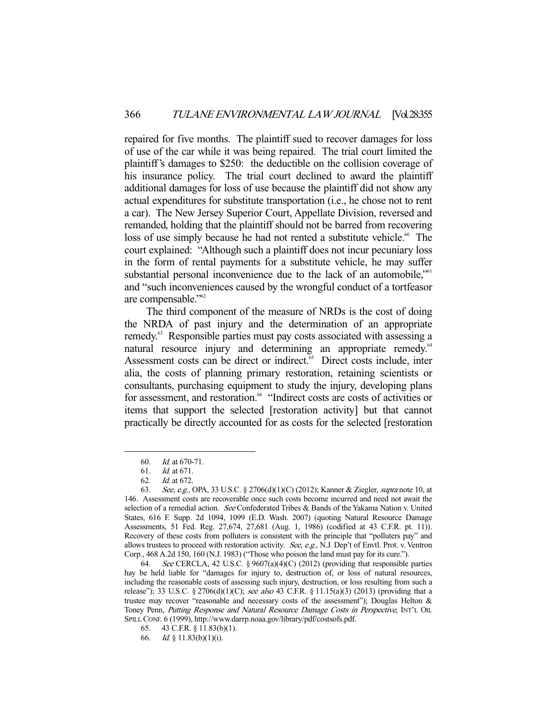repaired for five months. The plaintiff sued to recover damages for loss of use of the car while it was being repaired. The trial court limited the plaintiff's damages to \$250: the deductible on the collision coverage of his insurance policy. The trial court declined to award the plaintiff additional damages for loss of use because the plaintiff did not show any actual expenditures for substitute transportation (i.e., he chose not to rent a car). The New Jersey Superior Court, Appellate Division, reversed and remanded, holding that the plaintiff should not be barred from recovering loss of use simply because he had not rented a substitute vehicle.<sup>60</sup> The court explained: "Although such a plaintiff does not incur pecuniary loss in the form of rental payments for a substitute vehicle, he may suffer substantial personal inconvenience due to the lack of an automobile,"<sup>61</sup> and "such inconveniences caused by the wrongful conduct of a tortfeasor are compensable."62

 The third component of the measure of NRDs is the cost of doing the NRDA of past injury and the determination of an appropriate remedy.<sup>63</sup> Responsible parties must pay costs associated with assessing a natural resource injury and determining an appropriate remedy.<sup>64</sup> Assessment costs can be direct or indirect.<sup>65</sup> Direct costs include, inter alia, the costs of planning primary restoration, retaining scientists or consultants, purchasing equipment to study the injury, developing plans for assessment, and restoration.<sup>66</sup> "Indirect costs are costs of activities or items that support the selected [restoration activity] but that cannot practically be directly accounted for as costs for the selected [restoration

 <sup>60.</sup> Id. at 670-71.

 <sup>61.</sup> Id. at 671.

 <sup>62.</sup> Id. at 672.

<sup>63.</sup> See, e.g., OPA, 33 U.S.C. § 2706(d)(1)(C) (2012); Kanner & Ziegler, supra note 10, at 146. Assessment costs are recoverable once such costs become incurred and need not await the selection of a remedial action. See Confederated Tribes & Bands of the Yakama Nation v. United States, 616 F. Supp. 2d 1094, 1099 (E.D. Wash. 2007) (quoting Natural Resource Damage Assessments, 51 Fed. Reg. 27,674, 27,681 (Aug. 1, 1986) (codified at 43 C.F.R. pt. 11)). Recovery of these costs from polluters is consistent with the principle that "polluters pay" and allows trustees to proceed with restoration activity. See, e.g., N.J. Dep't of Envtl. Prot. v. Ventron Corp., 468 A.2d 150, 160 (N.J. 1983) ("Those who poison the land must pay for its cure.").

 <sup>64.</sup> See CERCLA, 42 U.S.C. § 9607(a)(4)(C) (2012) (providing that responsible parties hay be held liable for "damages for injury to, destruction of, or loss of natural resources, including the reasonable costs of assessing such injury, destruction, or loss resulting from such a release"); 33 U.S.C. § 2706(d)(1)(C); see also 43 C.F.R. § 11.15(a)(3) (2013) (providing that a trustee may recover "reasonable and necessary costs of the assessment"); Douglas Helton  $\&$ Toney Penn, Putting Response and Natural Resource Damage Costs in Perspective, INT'L OIL SPILL CONF. 6 (1999), http://www.darrp.noaa.gov/library/pdf/costsofs.pdf.

 <sup>65. 43</sup> C.F.R. § 11.83(b)(1).

 <sup>66.</sup> Id. § 11.83(b)(1)(i).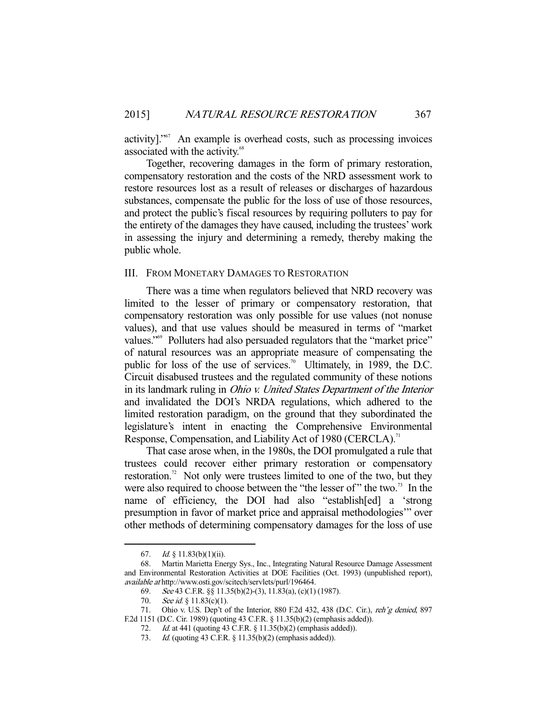activity]."67 An example is overhead costs, such as processing invoices associated with the activity.<sup>68</sup>

 Together, recovering damages in the form of primary restoration, compensatory restoration and the costs of the NRD assessment work to restore resources lost as a result of releases or discharges of hazardous substances, compensate the public for the loss of use of those resources, and protect the public's fiscal resources by requiring polluters to pay for the entirety of the damages they have caused, including the trustees' work in assessing the injury and determining a remedy, thereby making the public whole.

## III. FROM MONETARY DAMAGES TO RESTORATION

 There was a time when regulators believed that NRD recovery was limited to the lesser of primary or compensatory restoration, that compensatory restoration was only possible for use values (not nonuse values), and that use values should be measured in terms of "market values."<sup>69</sup> Polluters had also persuaded regulators that the "market price" of natural resources was an appropriate measure of compensating the public for loss of the use of services.<sup>70</sup> Ultimately, in 1989, the D.C. Circuit disabused trustees and the regulated community of these notions in its landmark ruling in Ohio v. United States Department of the Interior and invalidated the DOI's NRDA regulations, which adhered to the limited restoration paradigm, on the ground that they subordinated the legislature's intent in enacting the Comprehensive Environmental Response, Compensation, and Liability Act of 1980 (CERCLA).<sup>71</sup>

 That case arose when, in the 1980s, the DOI promulgated a rule that trustees could recover either primary restoration or compensatory restoration.<sup>72</sup> Not only were trustees limited to one of the two, but they were also required to choose between the "the lesser of" the two. $\frac{1}{2}$  In the name of efficiency, the DOI had also "establish[ed] a 'strong presumption in favor of market price and appraisal methodologies'" over other methods of determining compensatory damages for the loss of use

<sup>67.</sup> *Id.* § 11.83(b)(1)(ii).

 <sup>68.</sup> Martin Marietta Energy Sys., Inc., Integrating Natural Resource Damage Assessment and Environmental Restoration Activities at DOE Facilities (Oct. 1993) (unpublished report), available at http://www.osti.gov/scitech/servlets/purl/196464.

 <sup>69.</sup> See 43 C.F.R. §§ 11.35(b)(2)-(3), 11.83(a), (c)(1) (1987).

<sup>70.</sup> See id.  $\S$  11.83(c)(1).

<sup>71.</sup> Ohio v. U.S. Dep't of the Interior, 880 F.2d 432, 438 (D.C. Cir.), *reh'g denied*, 897 F.2d 1151 (D.C. Cir. 1989) (quoting 43 C.F.R. § 11.35(b)(2) (emphasis added)).

 <sup>72.</sup> Id. at 441 (quoting 43 C.F.R. § 11.35(b)(2) (emphasis added)).

 <sup>73.</sup> Id. (quoting 43 C.F.R. § 11.35(b)(2) (emphasis added)).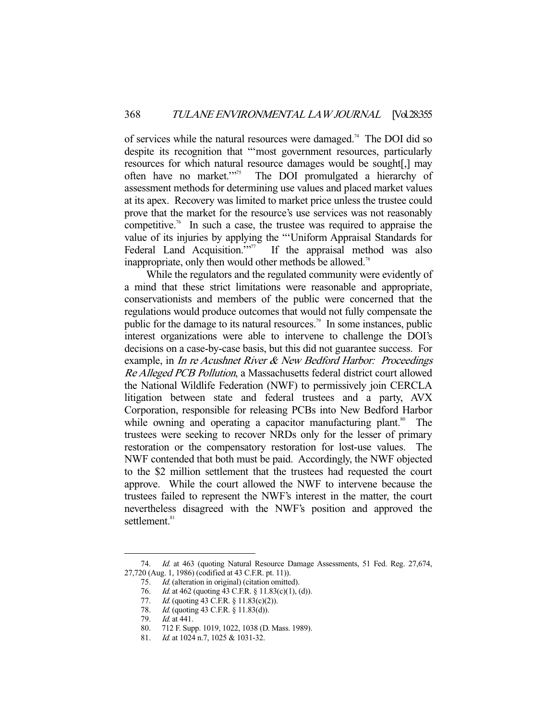of services while the natural resources were damaged.74 The DOI did so despite its recognition that "'most government resources, particularly resources for which natural resource damages would be sought[,] may often have no market."<sup>75</sup> The DOI promulgated a hierarchy of The DOI promulgated a hierarchy of assessment methods for determining use values and placed market values at its apex. Recovery was limited to market price unless the trustee could prove that the market for the resource's use services was not reasonably competitive.<sup>76</sup> In such a case, the trustee was required to appraise the value of its injuries by applying the "'Uniform Appraisal Standards for Federal Land Acquisition."<sup>777</sup> If the appraisal method was also inappropriate, only then would other methods be allowed.<sup>78</sup>

 While the regulators and the regulated community were evidently of a mind that these strict limitations were reasonable and appropriate, conservationists and members of the public were concerned that the regulations would produce outcomes that would not fully compensate the public for the damage to its natural resources.<sup>79</sup> In some instances, public interest organizations were able to intervene to challenge the DOI's decisions on a case-by-case basis, but this did not guarantee success. For example, in In re Acushnet River & New Bedford Harbor: Proceedings Re Alleged PCB Pollution, a Massachusetts federal district court allowed the National Wildlife Federation (NWF) to permissively join CERCLA litigation between state and federal trustees and a party, AVX Corporation, responsible for releasing PCBs into New Bedford Harbor while owning and operating a capacitor manufacturing plant.<sup>80</sup> The trustees were seeking to recover NRDs only for the lesser of primary restoration or the compensatory restoration for lost-use values. The NWF contended that both must be paid. Accordingly, the NWF objected to the \$2 million settlement that the trustees had requested the court approve. While the court allowed the NWF to intervene because the trustees failed to represent the NWF's interest in the matter, the court nevertheless disagreed with the NWF's position and approved the settlement.<sup>81</sup>

<sup>74.</sup> Id. at 463 (quoting Natural Resource Damage Assessments, 51 Fed. Reg. 27,674, 27,720 (Aug. 1, 1986) (codified at 43 C.F.R. pt. 11)).

 <sup>75.</sup> Id. (alteration in original) (citation omitted).

<sup>76.</sup> *Id.* at 462 (quoting 43 C.F.R. § 11.83(c)(1), (d)).

<sup>77.</sup> *Id.* (quoting 43 C.F.R. § 11.83(c)(2)).

<sup>78.</sup> Id. (quoting 43 C.F.R. § 11.83(d)).

 <sup>79.</sup> Id. at 441.

 <sup>80. 712</sup> F. Supp. 1019, 1022, 1038 (D. Mass. 1989).

<sup>81.</sup> *Id.* at 1024 n.7, 1025 & 1031-32.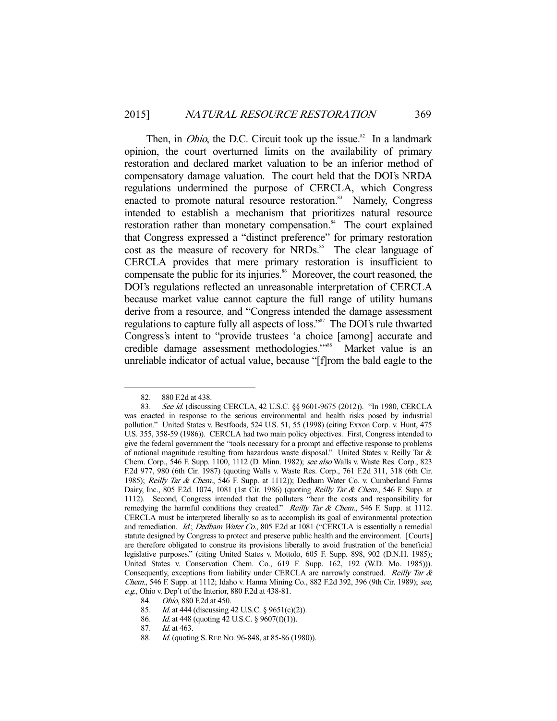Then, in *Ohio*, the D.C. Circuit took up the issue.<sup>82</sup> In a landmark opinion, the court overturned limits on the availability of primary restoration and declared market valuation to be an inferior method of compensatory damage valuation. The court held that the DOI's NRDA regulations undermined the purpose of CERCLA, which Congress enacted to promote natural resource restoration.<sup>83</sup> Namely, Congress intended to establish a mechanism that prioritizes natural resource restoration rather than monetary compensation.<sup>84</sup> The court explained that Congress expressed a "distinct preference" for primary restoration cost as the measure of recovery for NRDs.<sup>85</sup> The clear language of CERCLA provides that mere primary restoration is insufficient to compensate the public for its injuries.<sup>86</sup> Moreover, the court reasoned, the DOI's regulations reflected an unreasonable interpretation of CERCLA because market value cannot capture the full range of utility humans derive from a resource, and "Congress intended the damage assessment regulations to capture fully all aspects of loss."87 The DOI's rule thwarted Congress's intent to "provide trustees 'a choice [among] accurate and credible damage assessment methodologies."<sup>88</sup> Market value is an unreliable indicator of actual value, because "[f]rom the bald eagle to the

 <sup>82. 880</sup> F.2d at 438.

<sup>83.</sup> See id. (discussing CERCLA, 42 U.S.C. §§ 9601-9675 (2012)). "In 1980, CERCLA was enacted in response to the serious environmental and health risks posed by industrial pollution." United States v. Bestfoods, 524 U.S. 51, 55 (1998) (citing Exxon Corp. v. Hunt, 475 U.S. 355, 358-59 (1986)). CERCLA had two main policy objectives. First, Congress intended to give the federal government the "tools necessary for a prompt and effective response to problems of national magnitude resulting from hazardous waste disposal." United States v. Reilly Tar & Chem. Corp., 546 F. Supp. 1100, 1112 (D. Minn. 1982); see also Walls v. Waste Res. Corp., 823 F.2d 977, 980 (6th Cir. 1987) (quoting Walls v. Waste Res. Corp., 761 F.2d 311, 318 (6th Cir. 1985); Reilly Tar & Chem., 546 F. Supp. at 1112)); Dedham Water Co. v. Cumberland Farms Dairy, Inc., 805 F.2d. 1074, 1081 (1st Cir. 1986) (quoting Reilly Tar & Chem., 546 F. Supp. at 1112). Second, Congress intended that the polluters "bear the costs and responsibility for remedying the harmful conditions they created." Reilly Tar & Chem., 546 F. Supp. at 1112. CERCLA must be interpreted liberally so as to accomplish its goal of environmental protection and remediation. Id.; Dedham Water Co., 805 F.2d at 1081 ("CERCLA is essentially a remedial statute designed by Congress to protect and preserve public health and the environment. [Courts] are therefore obligated to construe its provisions liberally to avoid frustration of the beneficial legislative purposes." (citing United States v. Mottolo, 605 F. Supp. 898, 902 (D.N.H. 1985); United States v. Conservation Chem. Co., 619 F. Supp. 162, 192 (W.D. Mo. 1985))). Consequently, exceptions from liability under CERCLA are narrowly construed. Reilly Tar & Chem., 546 F. Supp. at 1112; Idaho v. Hanna Mining Co., 882 F.2d 392, 396 (9th Cir. 1989); see, e.g., Ohio v. Dep't of the Interior, 880 F.2d at 438-81.

 <sup>84.</sup> Ohio, 880 F.2d at 450.

<sup>85.</sup> *Id.* at 444 (discussing 42 U.S.C. § 9651(c)(2)).

 <sup>86.</sup> Id. at 448 (quoting 42 U.S.C. § 9607(f)(1)).

 <sup>87.</sup> Id. at 463.

<sup>88.</sup> *Id.* (quoting S. REP. No. 96-848, at 85-86 (1980)).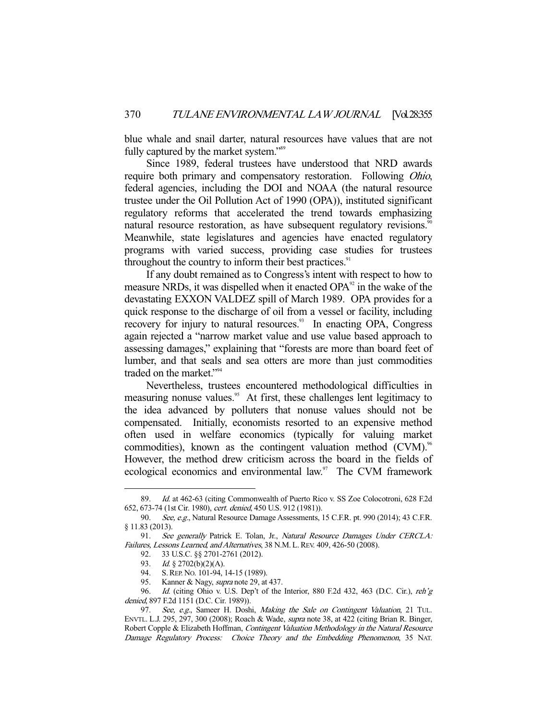blue whale and snail darter, natural resources have values that are not fully captured by the market system."<sup>89</sup>

 Since 1989, federal trustees have understood that NRD awards require both primary and compensatory restoration. Following Ohio, federal agencies, including the DOI and NOAA (the natural resource trustee under the Oil Pollution Act of 1990 (OPA)), instituted significant regulatory reforms that accelerated the trend towards emphasizing natural resource restoration, as have subsequent regulatory revisions.<sup>90</sup> Meanwhile, state legislatures and agencies have enacted regulatory programs with varied success, providing case studies for trustees throughout the country to inform their best practices. $91$ 

 If any doubt remained as to Congress's intent with respect to how to measure NRDs, it was dispelled when it enacted  $OPA<sup>92</sup>$  in the wake of the devastating EXXON VALDEZ spill of March 1989. OPA provides for a quick response to the discharge of oil from a vessel or facility, including recovery for injury to natural resources.<sup>93</sup> In enacting OPA, Congress again rejected a "narrow market value and use value based approach to assessing damages," explaining that "forests are more than board feet of lumber, and that seals and sea otters are more than just commodities traded on the market."<sup>94</sup>

 Nevertheless, trustees encountered methodological difficulties in measuring nonuse values.<sup>95</sup> At first, these challenges lent legitimacy to the idea advanced by polluters that nonuse values should not be compensated. Initially, economists resorted to an expensive method often used in welfare economics (typically for valuing market commodities), known as the contingent valuation method  $(CVM)$ .<sup>96</sup> However, the method drew criticism across the board in the fields of ecological economics and environmental law.<sup>97</sup> The CVM framework

 <sup>89.</sup> Id. at 462-63 (citing Commonwealth of Puerto Rico v. SS Zoe Colocotroni, 628 F.2d 652, 673-74 (1st Cir. 1980), cert. denied, 450 U.S. 912 (1981)).

<sup>90.</sup> See, e.g., Natural Resource Damage Assessments, 15 C.F.R. pt. 990 (2014); 43 C.F.R. § 11.83 (2013).

<sup>91.</sup> See generally Patrick E. Tolan, Jr., Natural Resource Damages Under CERCLA: Failures, Lessons Learned, and Alternatives, 38 N.M. L. REV. 409, 426-50 (2008).

 <sup>92. 33</sup> U.S.C. §§ 2701-2761 (2012).

<sup>93.</sup> Id. § 2702(b)(2)(A).

<sup>94.</sup> S. REP. No. 101-94, 14-15 (1989).

<sup>95.</sup> Kanner & Nagy, *supra* note 29, at 437.

<sup>96.</sup> *Id.* (citing Ohio v. U.S. Dep't of the Interior, 880 F.2d 432, 463 (D.C. Cir.), reh'g denied, 897 F.2d 1151 (D.C. Cir. 1989)).

<sup>97.</sup> See, e.g., Sameer H. Doshi, Making the Sale on Contingent Valuation, 21 TUL. ENVTL. L.J. 295, 297, 300 (2008); Roach & Wade, supra note 38, at 422 (citing Brian R. Binger, Robert Copple & Elizabeth Hoffman, Contingent Valuation Methodology in the Natural Resource Damage Regulatory Process: Choice Theory and the Embedding Phenomenon, 35 NAT.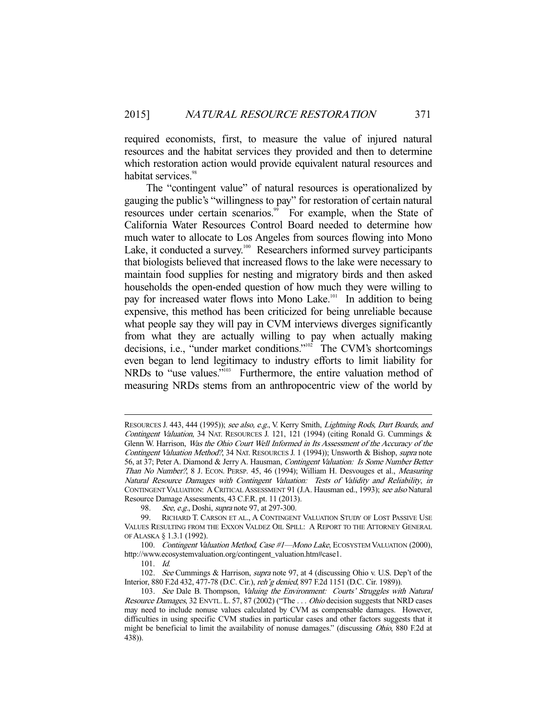required economists, first, to measure the value of injured natural resources and the habitat services they provided and then to determine which restoration action would provide equivalent natural resources and habitat services.<sup>98</sup>

 The "contingent value" of natural resources is operationalized by gauging the public's "willingness to pay" for restoration of certain natural resources under certain scenarios.<sup>99</sup> For example, when the State of California Water Resources Control Board needed to determine how much water to allocate to Los Angeles from sources flowing into Mono Lake, it conducted a survey.<sup>100</sup> Researchers informed survey participants that biologists believed that increased flows to the lake were necessary to maintain food supplies for nesting and migratory birds and then asked households the open-ended question of how much they were willing to pay for increased water flows into Mono Lake.<sup>101</sup> In addition to being expensive, this method has been criticized for being unreliable because what people say they will pay in CVM interviews diverges significantly from what they are actually willing to pay when actually making decisions, i.e., "under market conditions."<sup>102</sup> The CVM's shortcomings even began to lend legitimacy to industry efforts to limit liability for NRDs to "use values."<sup>103</sup> Furthermore, the entire valuation method of measuring NRDs stems from an anthropocentric view of the world by

RESOURCES J. 443, 444 (1995)); see also, e.g., V. Kerry Smith, *Lightning Rods, Dart Boards, and* Contingent Valuation, 34 NAT. RESOURCES J. 121, 121 (1994) (citing Ronald G. Cummings & Glenn W. Harrison, Was the Ohio Court Well Informed in Its Assessment of the Accuracy of the Contingent Valuation Method?, 34 NAT. RESOURCES J. 1 (1994)); Unsworth & Bishop, supra note 56, at 37; Peter A. Diamond & Jerry A. Hausman, Contingent Valuation: Is Some Number Better Than No Number?, 8 J. ECON. PERSP. 45, 46 (1994); William H. Desvouges et al., Measuring Natural Resource Damages with Contingent Valuation: Tests of Validity and Reliability, in CONTINGENT VALUATION: A CRITICAL ASSESSMENT 91 (J.A. Hausman ed., 1993); see also Natural Resource Damage Assessments, 43 C.F.R. pt. 11 (2013).

<sup>98.</sup> See, e.g., Doshi, *supra* note 97, at 297-300.

 <sup>99.</sup> RICHARD T. CARSON ET AL., A CONTINGENT VALUATION STUDY OF LOST PASSIVE USE VALUES RESULTING FROM THE EXXON VALDEZ OIL SPILL: A REPORT TO THE ATTORNEY GENERAL OF ALASKA § 1.3.1 (1992).

<sup>100.</sup> Contingent Valuation Method, Case #1-Mono Lake, ECOSYSTEM VALUATION (2000), http://www.ecosystemvaluation.org/contingent\_valuation.htm#case1.

 <sup>101.</sup> Id.

<sup>102.</sup> See Cummings & Harrison, *supra* note 97, at 4 (discussing Ohio v. U.S. Dep't of the Interior, 880 F.2d 432, 477-78 (D.C. Cir.), reh'g denied, 897 F.2d 1151 (D.C. Cir. 1989)).

<sup>103.</sup> See Dale B. Thompson, Valuing the Environment: Courts' Struggles with Natural Resource Damages, 32 ENVTL. L. 57, 87 (2002) ("The ... Ohio decision suggests that NRD cases may need to include nonuse values calculated by CVM as compensable damages. However, difficulties in using specific CVM studies in particular cases and other factors suggests that it might be beneficial to limit the availability of nonuse damages." (discussing *Ohio*, 880 F.2d at 438)).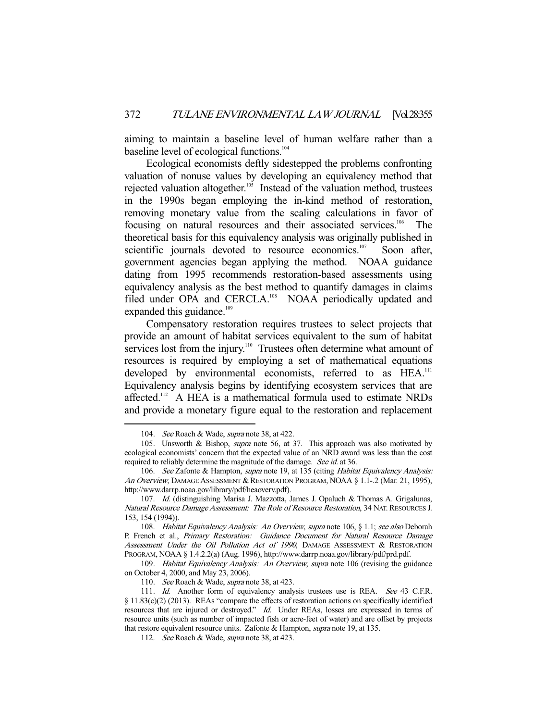aiming to maintain a baseline level of human welfare rather than a baseline level of ecological functions.<sup>104</sup>

 Ecological economists deftly sidestepped the problems confronting valuation of nonuse values by developing an equivalency method that rejected valuation altogether.<sup>105</sup> Instead of the valuation method, trustees in the 1990s began employing the in-kind method of restoration, removing monetary value from the scaling calculations in favor of focusing on natural resources and their associated services.106 The theoretical basis for this equivalency analysis was originally published in scientific journals devoted to resource economics.<sup>107</sup> Soon after, government agencies began applying the method. NOAA guidance dating from 1995 recommends restoration-based assessments using equivalency analysis as the best method to quantify damages in claims filed under OPA and CERCLA.<sup>108</sup> NOAA periodically updated and expanded this guidance.<sup>109</sup>

 Compensatory restoration requires trustees to select projects that provide an amount of habitat services equivalent to the sum of habitat services lost from the injury.<sup>110</sup> Trustees often determine what amount of resources is required by employing a set of mathematical equations developed by environmental economists, referred to as HEA.<sup>111</sup> Equivalency analysis begins by identifying ecosystem services that are affected.<sup>112</sup> A HEA is a mathematical formula used to estimate NRDs and provide a monetary figure equal to the restoration and replacement

<sup>104.</sup> See Roach & Wade, supra note 38, at 422.

 <sup>105.</sup> Unsworth & Bishop, supra note 56, at 37. This approach was also motivated by ecological economists' concern that the expected value of an NRD award was less than the cost required to reliably determine the magnitude of the damage. See id. at 36.

<sup>106.</sup> See Zafonte & Hampton, supra note 19, at 135 (citing Habitat Equivalency Analysis: An Overview, DAMAGE ASSESSMENT & RESTORATION PROGRAM, NOAA § 1.1-.2 (Mar. 21, 1995), http://www.darrp.noaa.gov/library/pdf/heaoverv.pdf).

 <sup>107.</sup> Id. (distinguishing Marisa J. Mazzotta, James J. Opaluch & Thomas A. Grigalunas, Natural Resource Damage Assessment: The Role of Resource Restoration, 34 NAT. RESOURCES J. 153, 154 (1994)).

 <sup>108.</sup> Habitat Equivalency Analysis: An Overview, supra note 106, § 1.1; see also Deborah P. French et al., Primary Restoration: Guidance Document for Natural Resource Damage Assessment Under the Oil Pollution Act of 1990, DAMAGE ASSESSMENT & RESTORATION PROGRAM, NOAA § 1.4.2.2(a) (Aug. 1996), http://www.darrp.noaa.gov/library/pdf/prd.pdf.

 <sup>109.</sup> Habitat Equivalency Analysis: An Overview, supra note 106 (revising the guidance on October 4, 2000, and May 23, 2006).

<sup>110.</sup> See Roach & Wade, supra note 38, at 423.

<sup>111.</sup> Id. Another form of equivalency analysis trustees use is REA. See 43 C.F.R. § 11.83(c)(2) (2013). REAs "compare the effects of restoration actions on specifically identified resources that are injured or destroyed." Id. Under REAs, losses are expressed in terms of resource units (such as number of impacted fish or acre-feet of water) and are offset by projects that restore equivalent resource units. Zafonte & Hampton, *supra* note 19, at 135.

<sup>112.</sup> See Roach & Wade, supra note 38, at 423.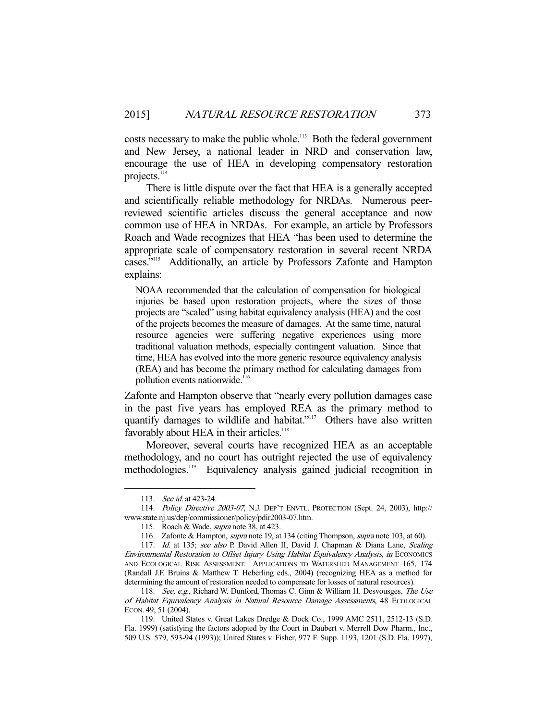costs necessary to make the public whole.<sup>113</sup> Both the federal government and New Jersey, a national leader in NRD and conservation law, encourage the use of HEA in developing compensatory restoration projects.<sup>114</sup>

 There is little dispute over the fact that HEA is a generally accepted and scientifically reliable methodology for NRDAs. Numerous peerreviewed scientific articles discuss the general acceptance and now common use of HEA in NRDAs. For example, an article by Professors Roach and Wade recognizes that HEA "has been used to determine the appropriate scale of compensatory restoration in several recent NRDA cases."115 Additionally, an article by Professors Zafonte and Hampton explains:

NOAA recommended that the calculation of compensation for biological injuries be based upon restoration projects, where the sizes of those projects are "scaled" using habitat equivalency analysis (HEA) and the cost of the projects becomes the measure of damages. At the same time, natural resource agencies were suffering negative experiences using more traditional valuation methods, especially contingent valuation. Since that time, HEA has evolved into the more generic resource equivalency analysis (REA) and has become the primary method for calculating damages from pollution events nationwide.<sup>116</sup>

Zafonte and Hampton observe that "nearly every pollution damages case in the past five years has employed REA as the primary method to quantify damages to wildlife and habitat."<sup>117</sup> Others have also written favorably about HEA in their articles.<sup>118</sup>

 Moreover, several courts have recognized HEA as an acceptable methodology, and no court has outright rejected the use of equivalency methodologies.<sup>119</sup> Equivalency analysis gained judicial recognition in

<sup>113.</sup> *See id.* at 423-24.

 <sup>114.</sup> Policy Directive 2003-07, N.J. DEP'T ENVTL. PROTECTION (Sept. 24, 2003), http:// www.state.nj.us/dep/commissioner/policy/pdir2003-07.htm.

<sup>115.</sup> Roach & Wade, *supra* note 38, at 423.

<sup>116.</sup> Zafonte & Hampton, *supra* note 19, at 134 (citing Thompson, *supra* note 103, at 60).

<sup>117.</sup> Id. at 135; see also P. David Allen II, David J. Chapman & Diana Lane, Scaling Environmental Restoration to Offset Injury Using Habitat Equivalency Analysis, in ECONOMICS AND ECOLOGICAL RISK ASSESSMENT: APPLICATIONS TO WATERSHED MANAGEMENT 165, 174 (Randall J.F. Bruins & Matthew T. Heberling eds., 2004) (recognizing HEA as a method for determining the amount of restoration needed to compensate for losses of natural resources).

<sup>118.</sup> See, e.g., Richard W. Dunford, Thomas C. Ginn & William H. Desvousges, The Use of Habitat Equivalency Analysis in Natural Resource Damage Assessments, 48 ECOLOGICAL ECON. 49, 51 (2004).

 <sup>119.</sup> United States v. Great Lakes Dredge & Dock Co., 1999 AMC 2511, 2512-13 (S.D. Fla. 1999) (satisfying the factors adopted by the Court in Daubert v. Merrell Dow Pharm., Inc., 509 U.S. 579, 593-94 (1993)); United States v. Fisher, 977 F. Supp. 1193, 1201 (S.D. Fla. 1997),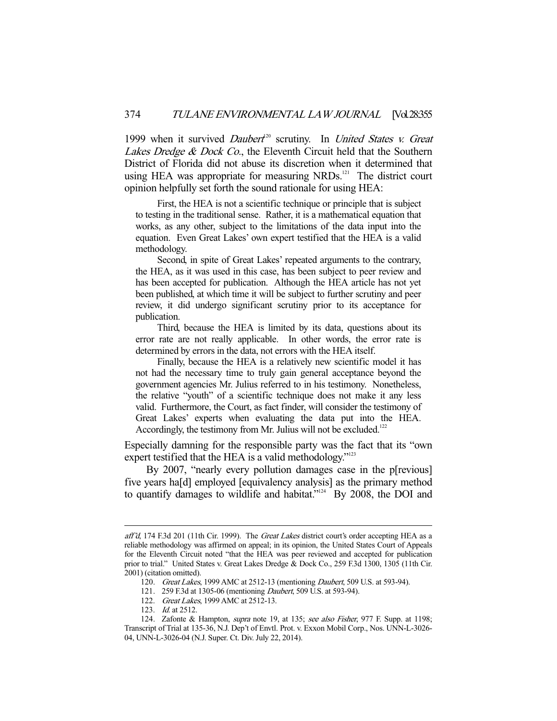1999 when it survived Daubert<sup>20</sup> scrutiny. In United States v. Great Lakes Dredge & Dock Co., the Eleventh Circuit held that the Southern District of Florida did not abuse its discretion when it determined that using HEA was appropriate for measuring NRDs.<sup>121</sup> The district court opinion helpfully set forth the sound rationale for using HEA:

 First, the HEA is not a scientific technique or principle that is subject to testing in the traditional sense. Rather, it is a mathematical equation that works, as any other, subject to the limitations of the data input into the equation. Even Great Lakes' own expert testified that the HEA is a valid methodology.

 Second, in spite of Great Lakes' repeated arguments to the contrary, the HEA, as it was used in this case, has been subject to peer review and has been accepted for publication. Although the HEA article has not yet been published, at which time it will be subject to further scrutiny and peer review, it did undergo significant scrutiny prior to its acceptance for publication.

 Third, because the HEA is limited by its data, questions about its error rate are not really applicable. In other words, the error rate is determined by errors in the data, not errors with the HEA itself.

 Finally, because the HEA is a relatively new scientific model it has not had the necessary time to truly gain general acceptance beyond the government agencies Mr. Julius referred to in his testimony. Nonetheless, the relative "youth" of a scientific technique does not make it any less valid. Furthermore, the Court, as fact finder, will consider the testimony of Great Lakes' experts when evaluating the data put into the HEA. Accordingly, the testimony from Mr. Julius will not be excluded.<sup>122</sup>

Especially damning for the responsible party was the fact that its "own expert testified that the HEA is a valid methodology."<sup>123</sup>

 By 2007, "nearly every pollution damages case in the p[revious] five years ha[d] employed [equivalency analysis] as the primary method to quantify damages to wildlife and habitat."124 By 2008, the DOI and

aff'd, 174 F.3d 201 (11th Cir. 1999). The *Great Lakes* district court's order accepting HEA as a reliable methodology was affirmed on appeal; in its opinion, the United States Court of Appeals for the Eleventh Circuit noted "that the HEA was peer reviewed and accepted for publication prior to trial." United States v. Great Lakes Dredge & Dock Co., 259 F.3d 1300, 1305 (11th Cir. 2001) (citation omitted).

<sup>120.</sup> Great Lakes, 1999 AMC at 2512-13 (mentioning Daubert, 509 U.S. at 593-94).

 <sup>121. 259</sup> F.3d at 1305-06 (mentioning Daubert, 509 U.S. at 593-94).

<sup>122.</sup> Great Lakes, 1999 AMC at 2512-13.

<sup>123.</sup> *Id.* at 2512.

<sup>124.</sup> Zafonte & Hampton, *supra* note 19, at 135; see also Fisher, 977 F. Supp. at 1198; Transcript of Trial at 135-36, N.J. Dep't of Envtl. Prot. v. Exxon Mobil Corp., Nos. UNN-L-3026- 04, UNN-L-3026-04 (N.J. Super. Ct. Div. July 22, 2014).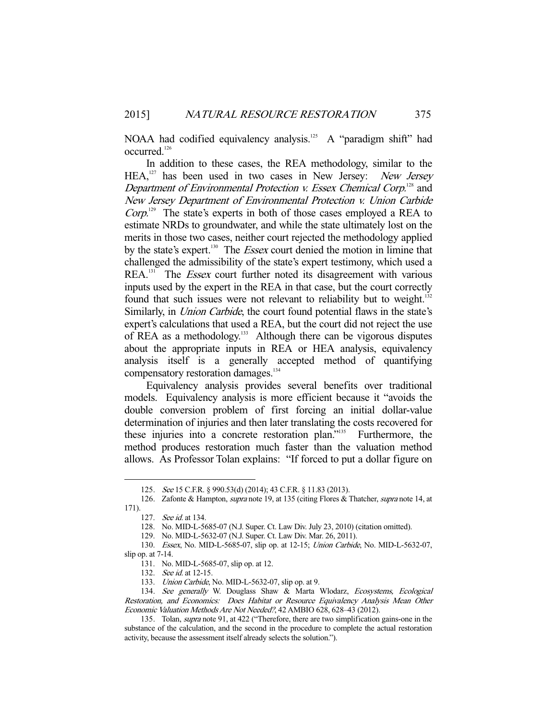NOAA had codified equivalency analysis.<sup>125</sup> A "paradigm shift" had occurred.<sup>126</sup>

 In addition to these cases, the REA methodology, similar to the HEA,<sup>127</sup> has been used in two cases in New Jersey: New Jersey Department of Environmental Protection v. Essex Chemical Corp.<sup>128</sup> and New Jersey Department of Environmental Protection v. Union Carbide  $Corp$ <sup>129</sup>. The state's experts in both of those cases employed a REA to estimate NRDs to groundwater, and while the state ultimately lost on the merits in those two cases, neither court rejected the methodology applied by the state's expert.<sup>130</sup> The *Essex* court denied the motion in limine that challenged the admissibility of the state's expert testimony, which used a REA.<sup>131</sup> The *Essex* court further noted its disagreement with various inputs used by the expert in the REA in that case, but the court correctly found that such issues were not relevant to reliability but to weight.<sup>132</sup> Similarly, in *Union Carbide*, the court found potential flaws in the state's expert's calculations that used a REA, but the court did not reject the use of REA as a methodology.<sup>133</sup> Although there can be vigorous disputes about the appropriate inputs in REA or HEA analysis, equivalency analysis itself is a generally accepted method of quantifying compensatory restoration damages.<sup>134</sup>

 Equivalency analysis provides several benefits over traditional models. Equivalency analysis is more efficient because it "avoids the double conversion problem of first forcing an initial dollar-value determination of injuries and then later translating the costs recovered for these injuries into a concrete restoration plan."135 Furthermore, the method produces restoration much faster than the valuation method allows. As Professor Tolan explains: "If forced to put a dollar figure on

 <sup>125.</sup> See 15 C.F.R. § 990.53(d) (2014); 43 C.F.R. § 11.83 (2013).

<sup>126.</sup> Zafonte & Hampton, *supra* note 19, at 135 (citing Flores & Thatcher, *supra* note 14, at 171).

 <sup>127.</sup> See id. at 134.

 <sup>128.</sup> No. MID-L-5685-07 (N.J. Super. Ct. Law Div. July 23, 2010) (citation omitted).

 <sup>129.</sup> No. MID-L-5632-07 (N.J. Super. Ct. Law Div. Mar. 26, 2011).

 <sup>130.</sup> Essex, No. MID-L-5685-07, slip op. at 12-15; Union Carbide, No. MID-L-5632-07, slip op. at 7-14.

 <sup>131.</sup> No. MID-L-5685-07, slip op. at 12.

<sup>132.</sup> See id. at 12-15.

<sup>133.</sup> Union Carbide, No. MID-L-5632-07, slip op. at 9.

<sup>134.</sup> See generally W. Douglass Shaw & Marta Wlodarz, Ecosystems, Ecological Restoration, and Economics: Does Habitat or Resource Equivalency Analysis Mean Other Economic Valuation Methods Are Not Needed?, 42 AMBIO 628, 628–43 (2012).

 <sup>135.</sup> Tolan, supra note 91, at 422 ("Therefore, there are two simplification gains-one in the substance of the calculation, and the second in the procedure to complete the actual restoration activity, because the assessment itself already selects the solution.").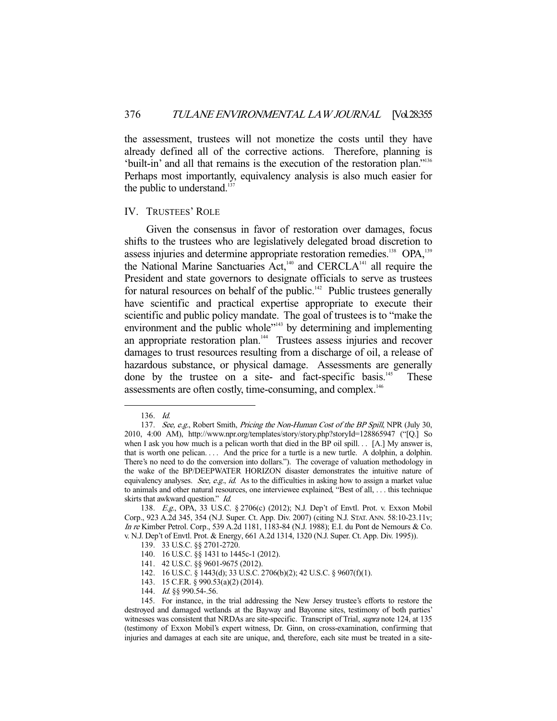the assessment, trustees will not monetize the costs until they have already defined all of the corrective actions. Therefore, planning is 'built-in' and all that remains is the execution of the restoration plan."136 Perhaps most importantly, equivalency analysis is also much easier for the public to understand. $137$ 

#### IV. TRUSTEES' ROLE

 Given the consensus in favor of restoration over damages, focus shifts to the trustees who are legislatively delegated broad discretion to assess injuries and determine appropriate restoration remedies.<sup>138</sup> OPA,<sup>139</sup> the National Marine Sanctuaries Act,<sup>140</sup> and CERCLA<sup>141</sup> all require the President and state governors to designate officials to serve as trustees for natural resources on behalf of the public.<sup>142</sup> Public trustees generally have scientific and practical expertise appropriate to execute their scientific and public policy mandate. The goal of trustees is to "make the environment and the public whole"<sup>143</sup> by determining and implementing an appropriate restoration plan.144 Trustees assess injuries and recover damages to trust resources resulting from a discharge of oil, a release of hazardous substance, or physical damage. Assessments are generally done by the trustee on a site- and fact-specific basis.<sup>145</sup> These assessments are often costly, time-consuming, and complex.<sup>146</sup>

 <sup>136.</sup> Id.

<sup>137.</sup> See, e.g., Robert Smith, Pricing the Non-Human Cost of the BP Spill, NPR (July 30, 2010, 4:00 AM), http://www.npr.org/templates/story/story.php?storyId=128865947 ("[Q.] So when I ask you how much is a pelican worth that died in the BP oil spill. . . [A.] My answer is, that is worth one pelican. . . . And the price for a turtle is a new turtle. A dolphin, a dolphin. There's no need to do the conversion into dollars."). The coverage of valuation methodology in the wake of the BP/DEEPWATER HORIZON disaster demonstrates the intuitive nature of equivalency analyses. See, e.g., id. As to the difficulties in asking how to assign a market value to animals and other natural resources, one interviewee explained, "Best of all, . . . this technique skirts that awkward question." Id.

 <sup>138.</sup> E.g., OPA, 33 U.S.C. § 2706(c) (2012); N.J. Dep't of Envtl. Prot. v. Exxon Mobil Corp., 923 A.2d 345, 354 (N.J. Super. Ct. App. Div. 2007) (citing N.J. STAT. ANN. 58:10-23.11v; In re Kimber Petrol. Corp., 539 A.2d 1181, 1183-84 (N.J. 1988); E.I. du Pont de Nemours & Co. v. N.J. Dep't of Envtl. Prot. & Energy, 661 A.2d 1314, 1320 (N.J. Super. Ct. App. Div. 1995)).

 <sup>139. 33</sup> U.S.C. §§ 2701-2720.

 <sup>140. 16</sup> U.S.C. §§ 1431 to 1445c-1 (2012).

 <sup>141. 42</sup> U.S.C. §§ 9601-9675 (2012).

 <sup>142. 16</sup> U.S.C. § 1443(d); 33 U.S.C. 2706(b)(2); 42 U.S.C. § 9607(f)(1).

 <sup>143. 15</sup> C.F.R. § 990.53(a)(2) (2014).

<sup>144.</sup> *Id.* §§ 990.54-.56.

 <sup>145.</sup> For instance, in the trial addressing the New Jersey trustee's efforts to restore the destroyed and damaged wetlands at the Bayway and Bayonne sites, testimony of both parties' witnesses was consistent that NRDAs are site-specific. Transcript of Trial, supra note 124, at 135 (testimony of Exxon Mobil's expert witness, Dr. Ginn, on cross-examination, confirming that injuries and damages at each site are unique, and, therefore, each site must be treated in a site-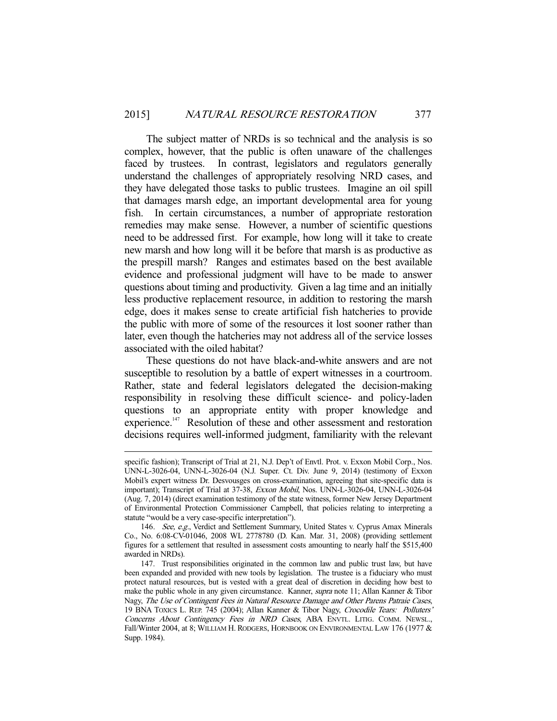The subject matter of NRDs is so technical and the analysis is so complex, however, that the public is often unaware of the challenges faced by trustees. In contrast, legislators and regulators generally understand the challenges of appropriately resolving NRD cases, and they have delegated those tasks to public trustees. Imagine an oil spill that damages marsh edge, an important developmental area for young fish. In certain circumstances, a number of appropriate restoration remedies may make sense. However, a number of scientific questions need to be addressed first. For example, how long will it take to create new marsh and how long will it be before that marsh is as productive as the prespill marsh? Ranges and estimates based on the best available evidence and professional judgment will have to be made to answer questions about timing and productivity. Given a lag time and an initially less productive replacement resource, in addition to restoring the marsh edge, does it makes sense to create artificial fish hatcheries to provide the public with more of some of the resources it lost sooner rather than later, even though the hatcheries may not address all of the service losses associated with the oiled habitat?

 These questions do not have black-and-white answers and are not susceptible to resolution by a battle of expert witnesses in a courtroom. Rather, state and federal legislators delegated the decision-making responsibility in resolving these difficult science- and policy-laden questions to an appropriate entity with proper knowledge and experience.<sup>147</sup> Resolution of these and other assessment and restoration decisions requires well-informed judgment, familiarity with the relevant

specific fashion); Transcript of Trial at 21, N.J. Dep't of Envtl. Prot. v. Exxon Mobil Corp., Nos. UNN-L-3026-04, UNN-L-3026-04 (N.J. Super. Ct. Div. June 9, 2014) (testimony of Exxon Mobil's expert witness Dr. Desvousges on cross-examination, agreeing that site-specific data is important); Transcript of Trial at 37-38, Exxon Mobil, Nos. UNN-L-3026-04, UNN-L-3026-04 (Aug. 7, 2014) (direct examination testimony of the state witness, former New Jersey Department of Environmental Protection Commissioner Campbell, that policies relating to interpreting a statute "would be a very case-specific interpretation").

<sup>146.</sup> See, e.g., Verdict and Settlement Summary, United States v. Cyprus Amax Minerals Co., No. 6:08-CV-01046, 2008 WL 2778780 (D. Kan. Mar. 31, 2008) (providing settlement figures for a settlement that resulted in assessment costs amounting to nearly half the \$515,400 awarded in NRDs).

 <sup>147.</sup> Trust responsibilities originated in the common law and public trust law, but have been expanded and provided with new tools by legislation. The trustee is a fiduciary who must protect natural resources, but is vested with a great deal of discretion in deciding how best to make the public whole in any given circumstance. Kanner, *supra* note 11; Allan Kanner & Tibor Nagy, The Use of Contingent Fees in Natural Resource Damage and Other Parens Patraie Cases, 19 BNA TOXICS L. REP. 745 (2004); Allan Kanner & Tibor Nagy, Crocodile Tears: Polluters' Concerns About Contingency Fees in NRD Cases, ABA ENVTL. LITIG. COMM. NEWSL., Fall/Winter 2004, at 8; WILLIAM H. RODGERS, HORNBOOK ON ENVIRONMENTAL LAW 176 (1977 & Supp. 1984).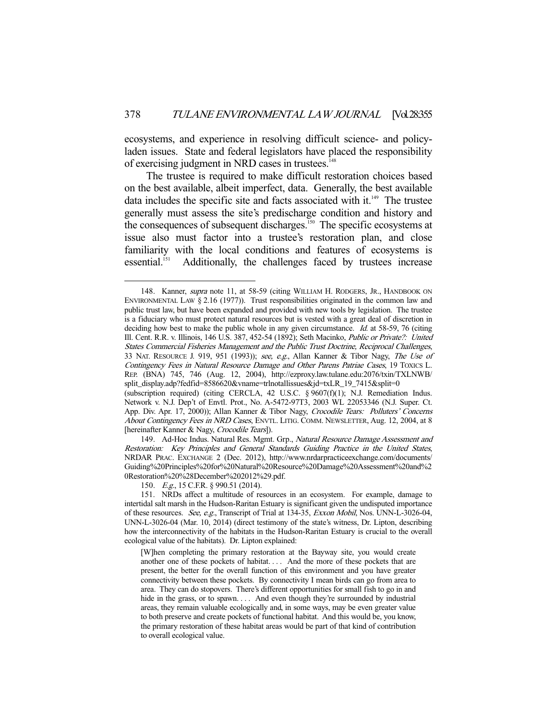ecosystems, and experience in resolving difficult science- and policyladen issues. State and federal legislators have placed the responsibility of exercising judgment in NRD cases in trustees.<sup>148</sup>

 The trustee is required to make difficult restoration choices based on the best available, albeit imperfect, data. Generally, the best available data includes the specific site and facts associated with it. $149$  The trustee generally must assess the site's predischarge condition and history and the consequences of subsequent discharges.<sup>150</sup> The specific ecosystems at issue also must factor into a trustee's restoration plan, and close familiarity with the local conditions and features of ecosystems is essential.<sup>151</sup> Additionally, the challenges faced by trustees increase Additionally, the challenges faced by trustees increase

<sup>148.</sup> Kanner, *supra* note 11, at 58-59 (citing WILLIAM H. RODGERS, JR., HANDBOOK ON ENVIRONMENTAL LAW § 2.16 (1977)). Trust responsibilities originated in the common law and public trust law, but have been expanded and provided with new tools by legislation. The trustee is a fiduciary who must protect natural resources but is vested with a great deal of discretion in deciding how best to make the public whole in any given circumstance. Id. at 58-59, 76 (citing Ill. Cent. R.R. v. Illinois, 146 U.S. 387, 452-54 (1892); Seth Macinko, Public or Private?: United States Commercial Fisheries Management and the Public Trust Doctrine, Reciprocal Challenges, 33 NAT. RESOURCE J. 919, 951 (1993)); see, e.g., Allan Kanner & Tibor Nagy, The Use of Contingency Fees in Natural Resource Damage and Other Parens Patriae Cases, 19 TOXICS L. REP. (BNA) 745, 746 (Aug. 12, 2004), http://ezproxy.law.tulane.edu:2076/txin/TXLNWB/ split\_display.adp?fedfid=8586620&vname=trlnotallissues&jd=txLR\_19\_7415&split=0

<sup>(</sup>subscription required) (citing CERCLA, 42 U.S.C. § 9607(f)(1); N.J. Remediation Indus. Network v. N.J. Dep't of Envtl. Prot., No. A-5472-97T3, 2003 WL 22053346 (N.J. Super. Ct. App. Div. Apr. 17, 2000)); Allan Kanner & Tibor Nagy, Crocodile Tears: Polluters' Concerns About Contingency Fees in NRD Cases, ENVTL. LITIG. COMM. NEWSLETTER, Aug. 12, 2004, at 8 [hereinafter Kanner & Nagy, Crocodile Tears]).

<sup>149.</sup> Ad-Hoc Indus. Natural Res. Mgmt. Grp., Natural Resource Damage Assessment and Restoration: Key Principles and General Standards Guiding Practice in the United States, NRDAR PRAC. EXCHANGE 2 (Dec. 2012), http://www.nrdarpracticeexchange.com/documents/ Guiding%20Principles%20for%20Natural%20Resource%20Damage%20Assessment%20and%2 0Restoration%20%28December%202012%29.pdf.

<sup>150.</sup> E.g., 15 C.F.R. § 990.51 (2014).

 <sup>151.</sup> NRDs affect a multitude of resources in an ecosystem. For example, damage to intertidal salt marsh in the Hudson-Raritan Estuary is significant given the undisputed importance of these resources. See, e.g., Transcript of Trial at 134-35, Exxon Mobil, Nos. UNN-L-3026-04, UNN-L-3026-04 (Mar. 10, 2014) (direct testimony of the state's witness, Dr. Lipton, describing how the interconnectivity of the habitats in the Hudson-Raritan Estuary is crucial to the overall ecological value of the habitats). Dr. Lipton explained:

<sup>[</sup>W]hen completing the primary restoration at the Bayway site, you would create another one of these pockets of habitat. . . . And the more of these pockets that are present, the better for the overall function of this environment and you have greater connectivity between these pockets. By connectivity I mean birds can go from area to area. They can do stopovers. There's different opportunities for small fish to go in and hide in the grass, or to spawn. . . . And even though they're surrounded by industrial areas, they remain valuable ecologically and, in some ways, may be even greater value to both preserve and create pockets of functional habitat. And this would be, you know, the primary restoration of these habitat areas would be part of that kind of contribution to overall ecological value.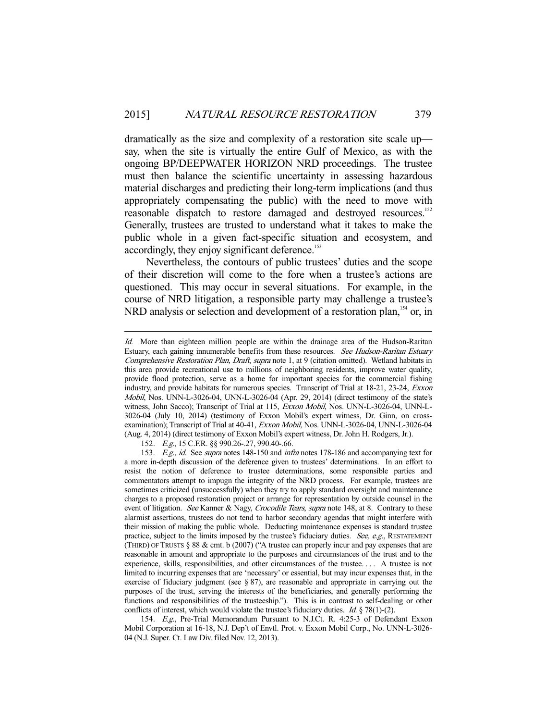dramatically as the size and complexity of a restoration site scale up say, when the site is virtually the entire Gulf of Mexico, as with the ongoing BP/DEEPWATER HORIZON NRD proceedings. The trustee must then balance the scientific uncertainty in assessing hazardous material discharges and predicting their long-term implications (and thus appropriately compensating the public) with the need to move with reasonable dispatch to restore damaged and destroyed resources.152 Generally, trustees are trusted to understand what it takes to make the public whole in a given fact-specific situation and ecosystem, and accordingly, they enjoy significant deference.<sup>153</sup>

 Nevertheless, the contours of public trustees' duties and the scope of their discretion will come to the fore when a trustee's actions are questioned. This may occur in several situations. For example, in the course of NRD litigation, a responsible party may challenge a trustee's NRD analysis or selection and development of a restoration plan,<sup>154</sup> or, in

-

 154. E.g., Pre-Trial Memorandum Pursuant to N.J.Ct. R. 4:25-3 of Defendant Exxon Mobil Corporation at 16-18, N.J. Dep't of Envtl. Prot. v. Exxon Mobil Corp., No. UNN-L-3026- 04 (N.J. Super. Ct. Law Div. filed Nov. 12, 2013).

Id. More than eighteen million people are within the drainage area of the Hudson-Raritan Estuary, each gaining innumerable benefits from these resources. See Hudson-Raritan Estuary Comprehensive Restoration Plan, Draft, supra note 1, at 9 (citation omitted). Wetland habitats in this area provide recreational use to millions of neighboring residents, improve water quality, provide flood protection, serve as a home for important species for the commercial fishing industry, and provide habitats for numerous species. Transcript of Trial at 18-21, 23-24, Exxon Mobil, Nos. UNN-L-3026-04, UNN-L-3026-04 (Apr. 29, 2014) (direct testimony of the state's witness, John Sacco); Transcript of Trial at 115, Exxon Mobil, Nos. UNN-L-3026-04, UNN-L-3026-04 (July 10, 2014) (testimony of Exxon Mobil's expert witness, Dr. Ginn, on crossexamination); Transcript of Trial at 40-41, Exxon Mobil, Nos. UNN-L-3026-04, UNN-L-3026-04 (Aug. 4, 2014) (direct testimony of Exxon Mobil's expert witness, Dr. John H. Rodgers, Jr.).

<sup>152.</sup> E.g., 15 C.F.R. §§ 990.26-.27, 990.40-.66.

<sup>153.</sup> E.g., id. See supra notes 148-150 and infra notes 178-186 and accompanying text for a more in-depth discussion of the deference given to trustees' determinations. In an effort to resist the notion of deference to trustee determinations, some responsible parties and commentators attempt to impugn the integrity of the NRD process. For example, trustees are sometimes criticized (unsuccessfully) when they try to apply standard oversight and maintenance charges to a proposed restoration project or arrange for representation by outside counsel in the event of litigation. See Kanner & Nagy, Crocodile Tears, supra note 148, at 8. Contrary to these alarmist assertions, trustees do not tend to harbor secondary agendas that might interfere with their mission of making the public whole. Deducting maintenance expenses is standard trustee practice, subject to the limits imposed by the trustee's fiduciary duties. See, e.g., RESTATEMENT (THIRD) OF TRUSTS  $\S 88 \& \text{cmt. b} (2007)$  ("A trustee can properly incur and pay expenses that are reasonable in amount and appropriate to the purposes and circumstances of the trust and to the experience, skills, responsibilities, and other circumstances of the trustee. . . . A trustee is not limited to incurring expenses that are 'necessary' or essential, but may incur expenses that, in the exercise of fiduciary judgment (see § 87), are reasonable and appropriate in carrying out the purposes of the trust, serving the interests of the beneficiaries, and generally performing the functions and responsibilities of the trusteeship."). This is in contrast to self-dealing or other conflicts of interest, which would violate the trustee's fiduciary duties. *Id.*  $§ 78(1)-(2)$ .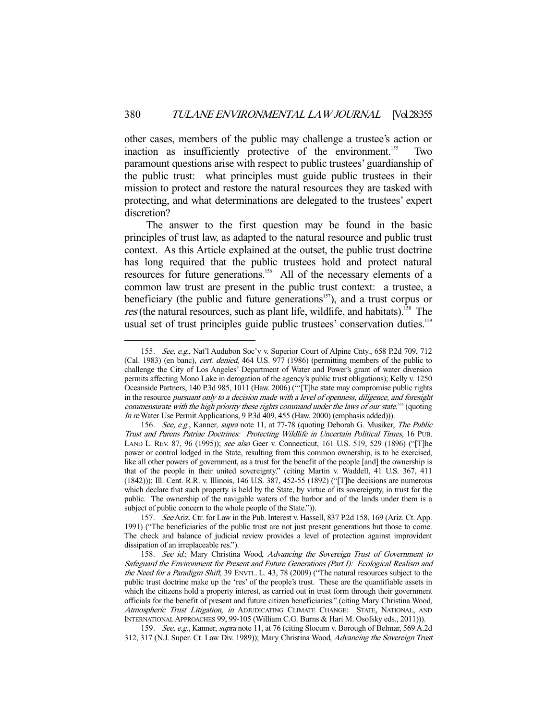other cases, members of the public may challenge a trustee's action or inaction as insufficiently protective of the environment.<sup>155</sup> Two paramount questions arise with respect to public trustees' guardianship of the public trust: what principles must guide public trustees in their mission to protect and restore the natural resources they are tasked with protecting, and what determinations are delegated to the trustees' expert discretion?

 The answer to the first question may be found in the basic principles of trust law, as adapted to the natural resource and public trust context. As this Article explained at the outset, the public trust doctrine has long required that the public trustees hold and protect natural resources for future generations.156 All of the necessary elements of a common law trust are present in the public trust context: a trustee, a beneficiary (the public and future generations<sup> $157$ </sup>), and a trust corpus or res (the natural resources, such as plant life, wildlife, and habitats).<sup>158</sup> The usual set of trust principles guide public trustees' conservation duties.<sup>159</sup>

<sup>155.</sup> See, e.g., Nat'l Audubon Soc'y v. Superior Court of Alpine Cnty., 658 P.2d 709, 712 (Cal. 1983) (en banc), cert. denied, 464 U.S. 977 (1986) (permitting members of the public to challenge the City of Los Angeles' Department of Water and Power's grant of water diversion permits affecting Mono Lake in derogation of the agency's public trust obligations); Kelly v. 1250 Oceanside Partners, 140 P.3d 985, 1011 (Haw. 2006) ("'[T]he state may compromise public rights in the resource pursuant only to a decision made with a level of openness, diligence, and foresight commensurate with the high priority these rights command under the laws of our state.'" (quoting In re Water Use Permit Applications, 9 P.3d 409, 455 (Haw. 2000) (emphasis added))).

<sup>156.</sup> See, e.g., Kanner, supra note 11, at 77-78 (quoting Deborah G. Musiker, The Public Trust and Parens Patriae Doctrines: Protecting Wildlife in Uncertain Political Times, 16 PUB. LAND L. REV. 87, 96 (1995)); see also Geer v. Connecticut, 161 U.S. 519, 529 (1896) ("[T]he power or control lodged in the State, resulting from this common ownership, is to be exercised, like all other powers of government, as a trust for the benefit of the people [and] the ownership is that of the people in their united sovereignty." (citing Martin v. Waddell, 41 U.S. 367, 411 (1842))); Ill. Cent. R.R. v. Illinois, 146 U.S. 387, 452-55 (1892) ("[T]he decisions are numerous which declare that such property is held by the State, by virtue of its sovereignty, in trust for the public. The ownership of the navigable waters of the harbor and of the lands under them is a subject of public concern to the whole people of the State.")).

 <sup>157.</sup> See Ariz. Ctr. for Law in the Pub. Interest v. Hassell, 837 P.2d 158, 169 (Ariz. Ct. App. 1991) ("The beneficiaries of the public trust are not just present generations but those to come. The check and balance of judicial review provides a level of protection against improvident dissipation of an irreplaceable res.").

<sup>158.</sup> See id.; Mary Christina Wood, Advancing the Sovereign Trust of Government to Safeguard the Environment for Present and Future Generations (Part I): Ecological Realism and the Need for a Paradigm Shift, 39 ENVTL. L. 43, 78 (2009) ("The natural resources subject to the public trust doctrine make up the 'res' of the people's trust. These are the quantifiable assets in which the citizens hold a property interest, as carried out in trust form through their government officials for the benefit of present and future citizen beneficiaries." (citing Mary Christina Wood, Atmospheric Trust Litigation, in ADJUDICATING CLIMATE CHANGE: STATE, NATIONAL, AND INTERNATIONAL APPROACHES 99, 99-105 (William C.G. Burns & Hari M. Osofsky eds., 2011))).

<sup>159.</sup> See, e.g., Kanner, supra note 11, at 76 (citing Slocum v. Borough of Belmar, 569 A.2d 312, 317 (N.J. Super. Ct. Law Div. 1989)); Mary Christina Wood, Advancing the Sovereign Trust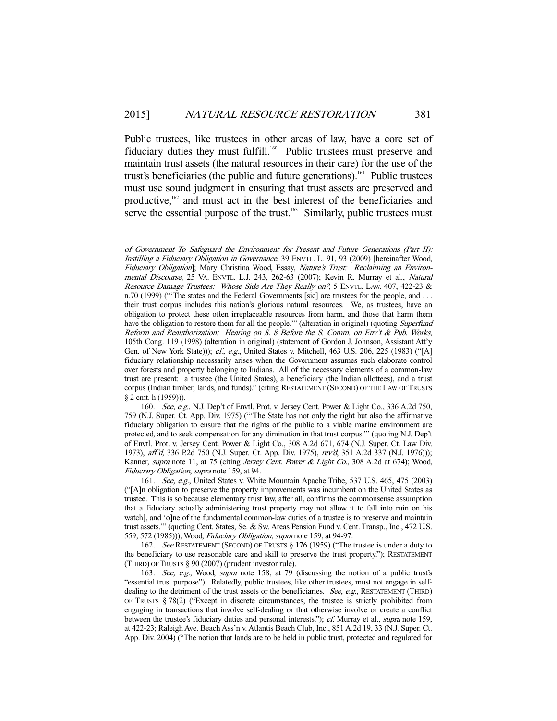Public trustees, like trustees in other areas of law, have a core set of fiduciary duties they must fulfill.<sup>160</sup> Public trustees must preserve and maintain trust assets (the natural resources in their care) for the use of the trust's beneficiaries (the public and future generations).161 Public trustees must use sound judgment in ensuring that trust assets are preserved and productive,<sup>162</sup> and must act in the best interest of the beneficiaries and serve the essential purpose of the trust.<sup>163</sup> Similarly, public trustees must

-

 160. See, e.g., N.J. Dep't of Envtl. Prot. v. Jersey Cent. Power & Light Co., 336 A.2d 750, 759 (N.J. Super. Ct. App. Div. 1975) ("'The State has not only the right but also the affirmative fiduciary obligation to ensure that the rights of the public to a viable marine environment are protected, and to seek compensation for any diminution in that trust corpus.'" (quoting N.J. Dep't of Envtl. Prot. v. Jersey Cent. Power & Light Co., 308 A.2d 671, 674 (N.J. Super. Ct. Law Div. 1973), aff'd, 336 P.2d 750 (N.J. Super. Ct. App. Div. 1975), rev'd, 351 A.2d 337 (N.J. 1976))); Kanner, *supra* note 11, at 75 (citing *Jersey Cent. Power & Light Co.*, 308 A.2d at 674); Wood, Fiduciary Obligation, supra note 159, at 94.

 161. See, e.g., United States v. White Mountain Apache Tribe, 537 U.S. 465, 475 (2003) ("[A]n obligation to preserve the property improvements was incumbent on the United States as trustee. This is so because elementary trust law, after all, confirms the commonsense assumption that a fiduciary actually administering trust property may not allow it to fall into ruin on his watch[, and 'o]ne of the fundamental common-law duties of a trustee is to preserve and maintain trust assets.'" (quoting Cent. States, Se. & Sw. Areas Pension Fund v. Cent. Transp., Inc., 472 U.S. 559, 572 (1985))); Wood, Fiduciary Obligation, supra note 159, at 94-97.

162. See RESTATEMENT (SECOND) OF TRUSTS § 176 (1959) ("The trustee is under a duty to the beneficiary to use reasonable care and skill to preserve the trust property."); RESTATEMENT (THIRD) OF TRUSTS § 90 (2007) (prudent investor rule).

163. See, e.g., Wood, supra note 158, at 79 (discussing the notion of a public trust's "essential trust purpose"). Relatedly, public trustees, like other trustees, must not engage in selfdealing to the detriment of the trust assets or the beneficiaries. See, e.g., RESTATEMENT (THIRD) OF TRUSTS § 78(2) ("Except in discrete circumstances, the trustee is strictly prohibited from engaging in transactions that involve self-dealing or that otherwise involve or create a conflict between the trustee's fiduciary duties and personal interests."); *cf.* Murray et al., *supra* note 159, at 422-23; Raleigh Ave. Beach Ass'n v. Atlantis Beach Club, Inc., 851 A.2d 19, 33 (N.J. Super. Ct. App. Div. 2004) ("The notion that lands are to be held in public trust, protected and regulated for

of Government To Safeguard the Environment for Present and Future Generations (Part II): Instilling a Fiduciary Obligation in Governance, 39 ENVTL. L. 91, 93 (2009) [hereinafter Wood, Fiduciary Obligation]; Mary Christina Wood, Essay, Nature's Trust: Reclaiming an Environmental Discourse, 25 VA. ENVTL. L.J. 243, 262-63 (2007); Kevin R. Murray et al., Natural Resource Damage Trustees: Whose Side Are They Really on?, 5 ENVTL. LAW. 407, 422-23 & n.70 (1999) ("The states and the Federal Governments [sic] are trustees for the people, and ... their trust corpus includes this nation's glorious natural resources. We, as trustees, have an obligation to protect these often irreplaceable resources from harm, and those that harm them have the obligation to restore them for all the people."" (alteration in original) (quoting Superfund Reform and Reauthorization: Hearing on S. 8 Before the S. Comm. on Env't & Pub. Works, 105th Cong. 119 (1998) (alteration in original) (statement of Gordon J. Johnson, Assistant Att'y Gen. of New York State))); cf., e.g., United States v. Mitchell, 463 U.S. 206, 225 (1983) ("[A] fiduciary relationship necessarily arises when the Government assumes such elaborate control over forests and property belonging to Indians. All of the necessary elements of a common-law trust are present: a trustee (the United States), a beneficiary (the Indian allottees), and a trust corpus (Indian timber, lands, and funds)." (citing RESTATEMENT (SECOND) OF THE LAW OF TRUSTS § 2 cmt. h (1959))).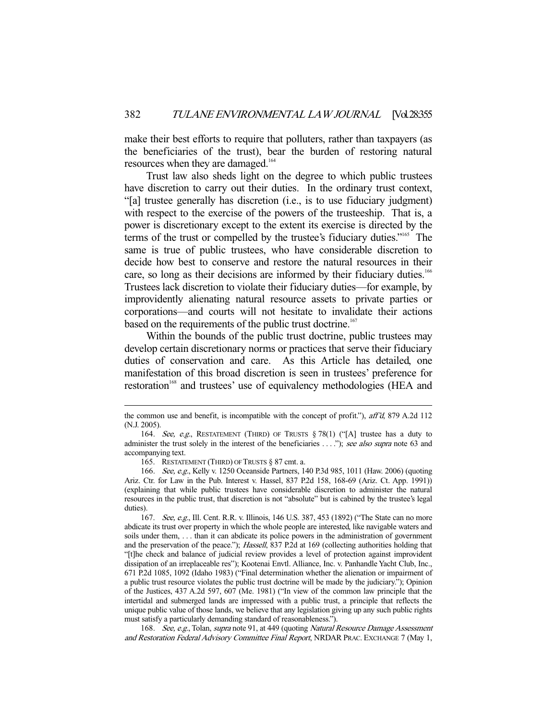make their best efforts to require that polluters, rather than taxpayers (as the beneficiaries of the trust), bear the burden of restoring natural resources when they are damaged.<sup>164</sup>

 Trust law also sheds light on the degree to which public trustees have discretion to carry out their duties. In the ordinary trust context, "[a] trustee generally has discretion (i.e., is to use fiduciary judgment) with respect to the exercise of the powers of the trusteeship. That is, a power is discretionary except to the extent its exercise is directed by the terms of the trust or compelled by the trustee's fiduciary duties."165 The same is true of public trustees, who have considerable discretion to decide how best to conserve and restore the natural resources in their care, so long as their decisions are informed by their fiduciary duties.<sup>166</sup> Trustees lack discretion to violate their fiduciary duties—for example, by improvidently alienating natural resource assets to private parties or corporations—and courts will not hesitate to invalidate their actions based on the requirements of the public trust doctrine.<sup>167</sup>

 Within the bounds of the public trust doctrine, public trustees may develop certain discretionary norms or practices that serve their fiduciary duties of conservation and care. As this Article has detailed, one manifestation of this broad discretion is seen in trustees' preference for restoration<sup>168</sup> and trustees' use of equivalency methodologies (HEA and

the common use and benefit, is incompatible with the concept of profit."), aff'd, 879 A.2d 112 (N.J. 2005).

<sup>164.</sup> See, e.g., RESTATEMENT (THIRD) OF TRUSTS  $\S 78(1)$  ("[A] trustee has a duty to administer the trust solely in the interest of the beneficiaries ...."); see also supra note 63 and accompanying text.

 <sup>165.</sup> RESTATEMENT (THIRD) OF TRUSTS § 87 cmt. a.

<sup>166.</sup> See, e.g., Kelly v. 1250 Oceanside Partners, 140 P.3d 985, 1011 (Haw. 2006) (quoting Ariz. Ctr. for Law in the Pub. Interest v. Hassel, 837 P.2d 158, 168-69 (Ariz. Ct. App. 1991)) (explaining that while public trustees have considerable discretion to administer the natural resources in the public trust, that discretion is not "absolute" but is cabined by the trustee's legal duties).

<sup>167.</sup> See, e.g., Ill. Cent. R.R. v. Illinois, 146 U.S. 387, 453 (1892) ("The State can no more abdicate its trust over property in which the whole people are interested, like navigable waters and soils under them, ... than it can abdicate its police powers in the administration of government and the preservation of the peace."); *Hassell*, 837 P.2d at 169 (collecting authorities holding that "[t]he check and balance of judicial review provides a level of protection against improvident dissipation of an irreplaceable res"); Kootenai Envtl. Alliance, Inc. v. Panhandle Yacht Club, Inc., 671 P.2d 1085, 1092 (Idaho 1983) ("Final determination whether the alienation or impairment of a public trust resource violates the public trust doctrine will be made by the judiciary."); Opinion of the Justices, 437 A.2d 597, 607 (Me. 1981) ("In view of the common law principle that the intertidal and submerged lands are impressed with a public trust, a principle that reflects the unique public value of those lands, we believe that any legislation giving up any such public rights must satisfy a particularly demanding standard of reasonableness.").

<sup>168.</sup> See, e.g., Tolan, supra note 91, at 449 (quoting Natural Resource Damage Assessment and Restoration Federal Advisory Committee Final Report, NRDAR PRAC. EXCHANGE 7 (May 1,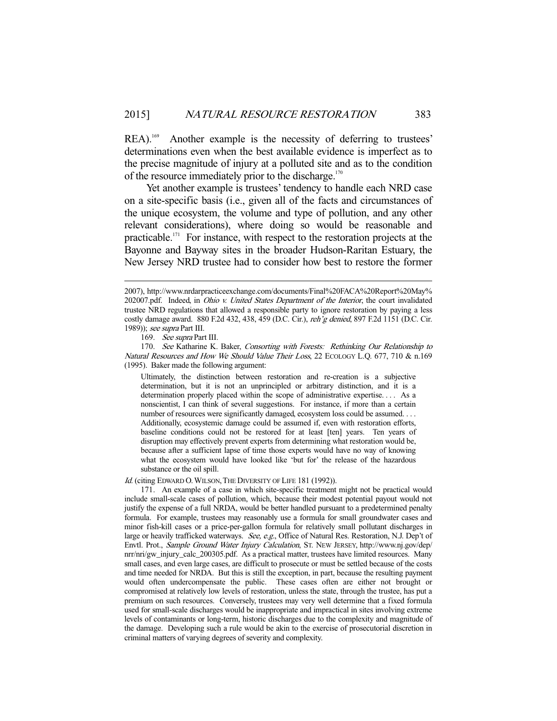REA).<sup>169</sup> Another example is the necessity of deferring to trustees' determinations even when the best available evidence is imperfect as to the precise magnitude of injury at a polluted site and as to the condition of the resource immediately prior to the discharge. $170$ 

 Yet another example is trustees' tendency to handle each NRD case on a site-specific basis (i.e., given all of the facts and circumstances of the unique ecosystem, the volume and type of pollution, and any other relevant considerations), where doing so would be reasonable and practicable.<sup>171</sup> For instance, with respect to the restoration projects at the Bayonne and Bayway sites in the broader Hudson-Raritan Estuary, the New Jersey NRD trustee had to consider how best to restore the former

-

170. See Katharine K. Baker, Consorting with Forests: Rethinking Our Relationship to Natural Resources and How We Should Value Their Loss, 22 ECOLOGY L.Q. 677, 710 & n.169 (1995). Baker made the following argument:

Ultimately, the distinction between restoration and re-creation is a subjective determination, but it is not an unprincipled or arbitrary distinction, and it is a determination properly placed within the scope of administrative expertise. . . . As a nonscientist, I can think of several suggestions. For instance, if more than a certain number of resources were significantly damaged, ecosystem loss could be assumed. . . . Additionally, ecosystemic damage could be assumed if, even with restoration efforts, baseline conditions could not be restored for at least [ten] years. Ten years of disruption may effectively prevent experts from determining what restoration would be, because after a sufficient lapse of time those experts would have no way of knowing what the ecosystem would have looked like 'but for' the release of the hazardous substance or the oil spill.

Id. (citing EDWARD O. WILSON, THE DIVERSITY OF LIFE 181 (1992)).

 171. An example of a case in which site-specific treatment might not be practical would include small-scale cases of pollution, which, because their modest potential payout would not justify the expense of a full NRDA, would be better handled pursuant to a predetermined penalty formula. For example, trustees may reasonably use a formula for small groundwater cases and minor fish-kill cases or a price-per-gallon formula for relatively small pollutant discharges in large or heavily trafficked waterways. See, e.g., Office of Natural Res. Restoration, N.J. Dep't of Envtl. Prot., Sample Ground Water Injury Calculation, ST. NEW JERSEY, http://www.nj.gov/dep/ nrr/nri/gw\_injury\_calc\_200305.pdf. As a practical matter, trustees have limited resources. Many small cases, and even large cases, are difficult to prosecute or must be settled because of the costs and time needed for NRDA. But this is still the exception, in part, because the resulting payment would often undercompensate the public. These cases often are either not brought or compromised at relatively low levels of restoration, unless the state, through the trustee, has put a premium on such resources. Conversely, trustees may very well determine that a fixed formula used for small-scale discharges would be inappropriate and impractical in sites involving extreme levels of contaminants or long-term, historic discharges due to the complexity and magnitude of the damage. Developing such a rule would be akin to the exercise of prosecutorial discretion in criminal matters of varying degrees of severity and complexity.

<sup>2007),</sup> http://www.nrdarpracticeexchange.com/documents/Final%20FACA%20Report%20May% 202007.pdf. Indeed, in *Ohio v. United States Department of the Interior*, the court invalidated trustee NRD regulations that allowed a responsible party to ignore restoration by paying a less costly damage award. 880 F.2d 432, 438, 459 (D.C. Cir.), reh'g denied, 897 F.2d 1151 (D.C. Cir. 1989)); see supra Part III.

<sup>169.</sup> See supra Part III.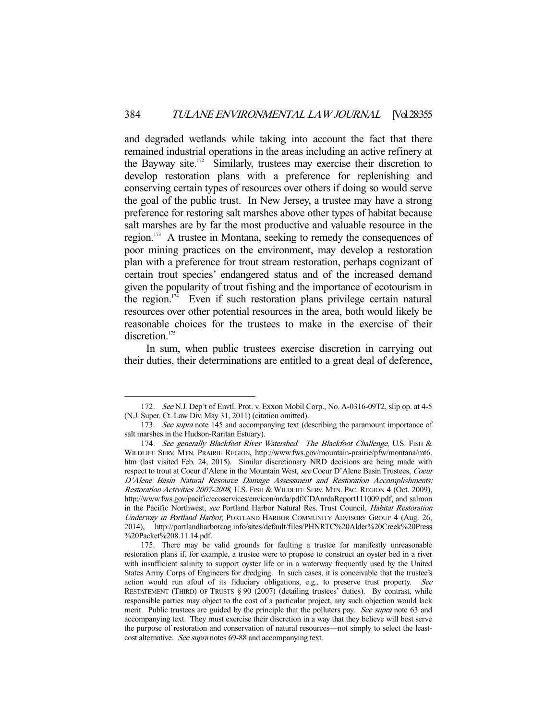and degraded wetlands while taking into account the fact that there remained industrial operations in the areas including an active refinery at the Bayway site.<sup>172</sup> Similarly, trustees may exercise their discretion to develop restoration plans with a preference for replenishing and conserving certain types of resources over others if doing so would serve the goal of the public trust. In New Jersey, a trustee may have a strong preference for restoring salt marshes above other types of habitat because salt marshes are by far the most productive and valuable resource in the region.173 A trustee in Montana, seeking to remedy the consequences of poor mining practices on the environment, may develop a restoration plan with a preference for trout stream restoration, perhaps cognizant of certain trout species' endangered status and of the increased demand given the popularity of trout fishing and the importance of ecotourism in the region. $174$  Even if such restoration plans privilege certain natural resources over other potential resources in the area, both would likely be reasonable choices for the trustees to make in the exercise of their discretion.<sup>175</sup>

 In sum, when public trustees exercise discretion in carrying out their duties, their determinations are entitled to a great deal of deference,

 <sup>172.</sup> See N.J. Dep't of Envtl. Prot. v. Exxon Mobil Corp., No. A-0316-09T2, slip op. at 4-5 (N.J. Super. Ct. Law Div. May 31, 2011) (citation omitted).

<sup>173.</sup> See supra note 145 and accompanying text (describing the paramount importance of salt marshes in the Hudson-Raritan Estuary).

<sup>174.</sup> See generally Blackfoot River Watershed: The Blackfoot Challenge, U.S. FISH & WILDLIFE SERV. MTN. PRAIRIE REGION, http://www.fws.gov/mountain-prairie/pfw/montana/mt6. htm (last visited Feb. 24, 2015). Similar discretionary NRD decisions are being made with respect to trout at Coeur d'Alene in the Mountain West, see Coeur D'Alene Basin Trustees, Coeur D'Alene Basin Natural Resource Damage Assessment and Restoration Accomplishments: Restoration Activities 2007-2008, U.S. FISH & WILDLIFE SERV. MTN. PAC. REGION 4 (Oct. 2009), http://www.fws.gov/pacific/ecoservices/envicon/nrda/pdf/CDAnrdaReport111009.pdf, and salmon in the Pacific Northwest, see Portland Harbor Natural Res. Trust Council, Habitat Restoration Underway in Portland Harbor, PORTLAND HARBOR COMMUNITY ADVISORY GROUP 4 (Aug. 26, 2014), http://portlandharborcag.info/sites/default/files/PHNRTC%20Alder%20Creek%20Press %20Packet%208.11.14.pdf.

 <sup>175.</sup> There may be valid grounds for faulting a trustee for manifestly unreasonable restoration plans if, for example, a trustee were to propose to construct an oyster bed in a river with insufficient salinity to support oyster life or in a waterway frequently used by the United States Army Corps of Engineers for dredging. In such cases, it is conceivable that the trustee's action would run afoul of its fiduciary obligations, e.g., to preserve trust property. See RESTATEMENT (THIRD) OF TRUSTS § 90 (2007) (detailing trustees' duties). By contrast, while responsible parties may object to the cost of a particular project, any such objection would lack merit. Public trustees are guided by the principle that the polluters pay. See supra note 63 and accompanying text. They must exercise their discretion in a way that they believe will best serve the purpose of restoration and conservation of natural resources—not simply to select the leastcost alternative. See supra notes 69-88 and accompanying text.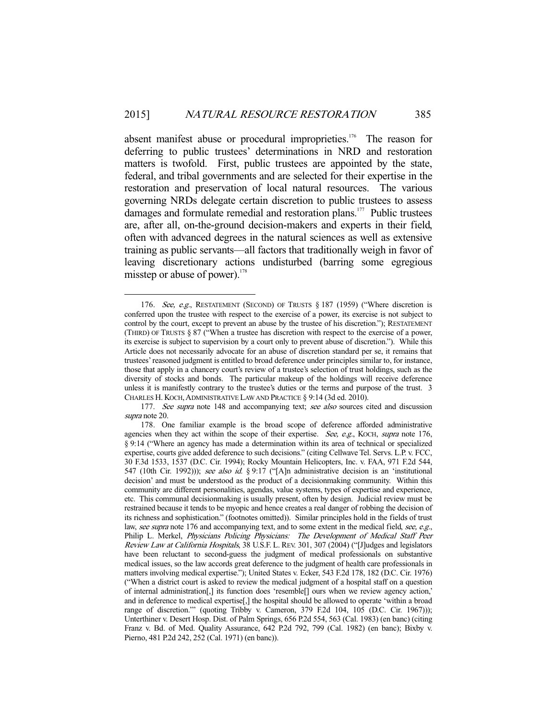absent manifest abuse or procedural improprieties.<sup>176</sup> The reason for deferring to public trustees' determinations in NRD and restoration matters is twofold. First, public trustees are appointed by the state, federal, and tribal governments and are selected for their expertise in the restoration and preservation of local natural resources. The various governing NRDs delegate certain discretion to public trustees to assess damages and formulate remedial and restoration plans.<sup>177</sup> Public trustees are, after all, on-the-ground decision-makers and experts in their field, often with advanced degrees in the natural sciences as well as extensive training as public servants—all factors that traditionally weigh in favor of leaving discretionary actions undisturbed (barring some egregious misstep or abuse of power). $178$ 

<sup>-</sup>176. See, e.g., RESTATEMENT (SECOND) OF TRUSTS § 187 (1959) ("Where discretion is conferred upon the trustee with respect to the exercise of a power, its exercise is not subject to control by the court, except to prevent an abuse by the trustee of his discretion."); RESTATEMENT (THIRD) OF TRUSTS § 87 ("When a trustee has discretion with respect to the exercise of a power, its exercise is subject to supervision by a court only to prevent abuse of discretion."). While this Article does not necessarily advocate for an abuse of discretion standard per se, it remains that trustees' reasoned judgment is entitled to broad deference under principles similar to, for instance, those that apply in a chancery court's review of a trustee's selection of trust holdings, such as the diversity of stocks and bonds. The particular makeup of the holdings will receive deference unless it is manifestly contrary to the trustee's duties or the terms and purpose of the trust. 3 CHARLES H. KOCH, ADMINISTRATIVE LAW AND PRACTICE § 9:14 (3d ed. 2010).

<sup>177.</sup> See supra note 148 and accompanying text; see also sources cited and discussion supra note 20.

 <sup>178.</sup> One familiar example is the broad scope of deference afforded administrative agencies when they act within the scope of their expertise. See, e.g., KOCH, supra note 176, § 9:14 ("Where an agency has made a determination within its area of technical or specialized expertise, courts give added deference to such decisions." (citing Cellwave Tel. Servs. L.P. v. FCC, 30 F.3d 1533, 1537 (D.C. Cir. 1994); Rocky Mountain Helicopters, Inc. v. FAA, 971 F.2d 544, 547 (10th Cir. 1992))); see also id. § 9:17 ("[A]n administrative decision is an 'institutional decision' and must be understood as the product of a decisionmaking community. Within this community are different personalities, agendas, value systems, types of expertise and experience, etc. This communal decisionmaking is usually present, often by design. Judicial review must be restrained because it tends to be myopic and hence creates a real danger of robbing the decision of its richness and sophistication." (footnotes omitted)). Similar principles hold in the fields of trust law, see supra note 176 and accompanying text, and to some extent in the medical field, see, e.g., Philip L. Merkel, Physicians Policing Physicians: The Development of Medical Staff Peer Review Law at California Hospitals, 38 U.S.F. L. REV. 301, 307 (2004) ("[J]udges and legislators have been reluctant to second-guess the judgment of medical professionals on substantive medical issues, so the law accords great deference to the judgment of health care professionals in matters involving medical expertise."); United States v. Ecker, 543 F.2d 178, 182 (D.C. Cir. 1976) ("When a district court is asked to review the medical judgment of a hospital staff on a question of internal administration[,] its function does 'resemble[] ours when we review agency action,' and in deference to medical expertise[,] the hospital should be allowed to operate 'within a broad range of discretion.'" (quoting Tribby v. Cameron, 379 F.2d 104, 105 (D.C. Cir. 1967))); Unterthiner v. Desert Hosp. Dist. of Palm Springs, 656 P.2d 554, 563 (Cal. 1983) (en banc) (citing Franz v. Bd. of Med. Quality Assurance, 642 P.2d 792, 799 (Cal. 1982) (en banc); Bixby v. Pierno, 481 P.2d 242, 252 (Cal. 1971) (en banc)).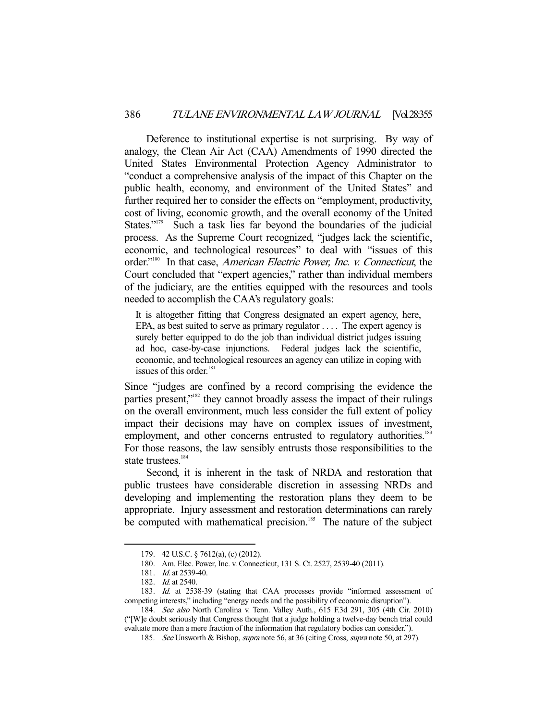Deference to institutional expertise is not surprising. By way of analogy, the Clean Air Act (CAA) Amendments of 1990 directed the United States Environmental Protection Agency Administrator to "conduct a comprehensive analysis of the impact of this Chapter on the public health, economy, and environment of the United States" and further required her to consider the effects on "employment, productivity, cost of living, economic growth, and the overall economy of the United States."<sup>179</sup> Such a task lies far beyond the boundaries of the judicial process. As the Supreme Court recognized, "judges lack the scientific, economic, and technological resources" to deal with "issues of this order."<sup>180</sup> In that case, *American Electric Power*, *Inc. v. Connecticut*, the Court concluded that "expert agencies," rather than individual members of the judiciary, are the entities equipped with the resources and tools needed to accomplish the CAA's regulatory goals:

It is altogether fitting that Congress designated an expert agency, here, EPA, as best suited to serve as primary regulator . . . . The expert agency is surely better equipped to do the job than individual district judges issuing ad hoc, case-by-case injunctions. Federal judges lack the scientific, economic, and technological resources an agency can utilize in coping with issues of this order.<sup>181</sup>

Since "judges are confined by a record comprising the evidence the parties present,"<sup>182</sup> they cannot broadly assess the impact of their rulings on the overall environment, much less consider the full extent of policy impact their decisions may have on complex issues of investment, employment, and other concerns entrusted to regulatory authorities.<sup>183</sup> For those reasons, the law sensibly entrusts those responsibilities to the state trustees.<sup>184</sup>

 Second, it is inherent in the task of NRDA and restoration that public trustees have considerable discretion in assessing NRDs and developing and implementing the restoration plans they deem to be appropriate. Injury assessment and restoration determinations can rarely be computed with mathematical precision.<sup>185</sup> The nature of the subject

 <sup>179. 42</sup> U.S.C. § 7612(a), (c) (2012).

 <sup>180.</sup> Am. Elec. Power, Inc. v. Connecticut, 131 S. Ct. 2527, 2539-40 (2011).

 <sup>181.</sup> Id. at 2539-40.

 <sup>182.</sup> Id. at 2540.

 <sup>183.</sup> Id. at 2538-39 (stating that CAA processes provide "informed assessment of competing interests," including "energy needs and the possibility of economic disruption").

 <sup>184.</sup> See also North Carolina v. Tenn. Valley Auth., 615 F.3d 291, 305 (4th Cir. 2010) ("[W]e doubt seriously that Congress thought that a judge holding a twelve-day bench trial could evaluate more than a mere fraction of the information that regulatory bodies can consider.").

<sup>185.</sup> See Unsworth & Bishop, *supra* note 56, at 36 (citing Cross, *supra* note 50, at 297).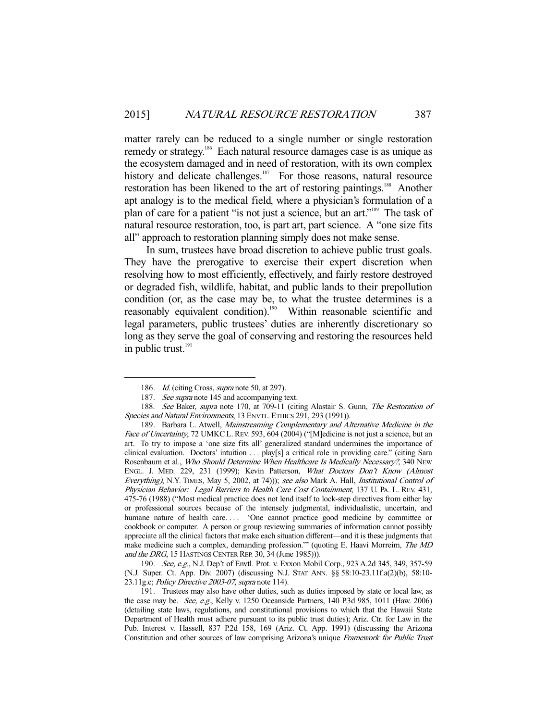matter rarely can be reduced to a single number or single restoration remedy or strategy.<sup>186</sup> Each natural resource damages case is as unique as the ecosystem damaged and in need of restoration, with its own complex history and delicate challenges.<sup>187</sup> For those reasons, natural resource restoration has been likened to the art of restoring paintings.<sup>188</sup> Another apt analogy is to the medical field, where a physician's formulation of a plan of care for a patient "is not just a science, but an art."189 The task of natural resource restoration, too, is part art, part science. A "one size fits all" approach to restoration planning simply does not make sense.

 In sum, trustees have broad discretion to achieve public trust goals. They have the prerogative to exercise their expert discretion when resolving how to most efficiently, effectively, and fairly restore destroyed or degraded fish, wildlife, habitat, and public lands to their prepollution condition (or, as the case may be, to what the trustee determines is a reasonably equivalent condition).<sup>190</sup> Within reasonable scientific and legal parameters, public trustees' duties are inherently discretionary so long as they serve the goal of conserving and restoring the resources held in public trust. $191$ 

-

190. See, e.g., N.J. Dep't of Envtl. Prot. v. Exxon Mobil Corp., 923 A.2d 345, 349, 357-59 (N.J. Super. Ct. App. Div. 2007) (discussing N.J. STAT ANN. §§ 58:10-23.11f.a(2)(b), 58:10- 23.11g.c; Policy Directive 2003-07, supra note 114).

<sup>186.</sup> Id. (citing Cross, *supra* note 50, at 297).

<sup>187.</sup> See supra note 145 and accompanying text.

<sup>188.</sup> See Baker, supra note 170, at 709-11 (citing Alastair S. Gunn, The Restoration of Species and Natural Environments, 13 ENVTL. ETHICS 291, 293 (1991)).

 <sup>189.</sup> Barbara L. Atwell, Mainstreaming Complementary and Alternative Medicine in the Face of Uncertainty, 72 UMKC L. REV. 593, 604 (2004) ("[M]edicine is not just a science, but an art. To try to impose a 'one size fits all' generalized standard undermines the importance of clinical evaluation. Doctors' intuition . . . play[s] a critical role in providing care." (citing Sara Rosenbaum et al., Who Should Determine When Healthcare Is Medically Necessary?, 340 NEW ENGL. J. MED. 229, 231 (1999); Kevin Patterson, What Doctors Don't Know (Almost Everything), N.Y. TIMES, May 5, 2002, at 74))); see also Mark A. Hall, *Institutional Control of* Physician Behavior: Legal Barriers to Health Care Cost Containment, 137 U. PA. L. REV. 431, 475-76 (1988) ("Most medical practice does not lend itself to lock-step directives from either lay or professional sources because of the intensely judgmental, individualistic, uncertain, and humane nature of health care.... 'One cannot practice good medicine by committee or cookbook or computer. A person or group reviewing summaries of information cannot possibly appreciate all the clinical factors that make each situation different—and it is these judgments that make medicine such a complex, demanding profession." (quoting E. Haavi Morreim, *The MD* and the DRG, 15 HASTINGS CENTER REP. 30, 34 (June 1985))).

 <sup>191.</sup> Trustees may also have other duties, such as duties imposed by state or local law, as the case may be. *See, e.g.*, Kelly v. 1250 Oceanside Partners, 140 P.3d 985, 1011 (Haw. 2006) (detailing state laws, regulations, and constitutional provisions to which that the Hawaii State Department of Health must adhere pursuant to its public trust duties); Ariz. Ctr. for Law in the Pub. Interest v. Hassell, 837 P.2d 158, 169 (Ariz. Ct. App. 1991) (discussing the Arizona Constitution and other sources of law comprising Arizona's unique Framework for Public Trust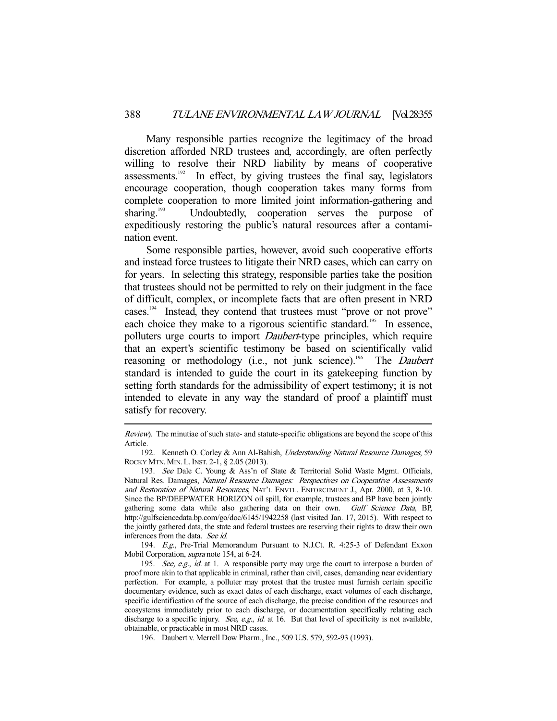Many responsible parties recognize the legitimacy of the broad discretion afforded NRD trustees and, accordingly, are often perfectly willing to resolve their NRD liability by means of cooperative assessments.<sup>192</sup> In effect, by giving trustees the final say, legislators encourage cooperation, though cooperation takes many forms from complete cooperation to more limited joint information-gathering and sharing.<sup>193</sup> Undoubtedly, cooperation serves the purpose of expeditiously restoring the public's natural resources after a contamination event.

 Some responsible parties, however, avoid such cooperative efforts and instead force trustees to litigate their NRD cases, which can carry on for years. In selecting this strategy, responsible parties take the position that trustees should not be permitted to rely on their judgment in the face of difficult, complex, or incomplete facts that are often present in NRD cases.194 Instead, they contend that trustees must "prove or not prove" each choice they make to a rigorous scientific standard.<sup>195</sup> In essence, polluters urge courts to import *Daubert*-type principles, which require that an expert's scientific testimony be based on scientifically valid reasoning or methodology (i.e., not junk science).<sup>196</sup> The *Daubert* standard is intended to guide the court in its gatekeeping function by setting forth standards for the admissibility of expert testimony; it is not intended to elevate in any way the standard of proof a plaintiff must satisfy for recovery.

-

 194. E.g., Pre-Trial Memorandum Pursuant to N.J.Ct. R. 4:25-3 of Defendant Exxon Mobil Corporation, supra note 154, at 6-24.

Review). The minutiae of such state- and statute-specific obligations are beyond the scope of this Article.

 <sup>192.</sup> Kenneth O. Corley & Ann Al-Bahish, Understanding Natural Resource Damages, 59 ROCKY MTN. MIN. L.INST. 2-1, § 2.05 (2013).

 <sup>193.</sup> See Dale C. Young & Ass'n of State & Territorial Solid Waste Mgmt. Officials, Natural Res. Damages, Natural Resource Damages: Perspectives on Cooperative Assessments and Restoration of Natural Resources, NAT'L ENVTL. ENFORCEMENT J., Apr. 2000, at 3, 8-10. Since the BP/DEEPWATER HORIZON oil spill, for example, trustees and BP have been jointly gathering some data while also gathering data on their own. Gulf Science Data, BP, http://gulfsciencedata.bp.com/go/doc/6145/1942258 (last visited Jan. 17, 2015). With respect to the jointly gathered data, the state and federal trustees are reserving their rights to draw their own inferences from the data. See id.

<sup>195.</sup> See, e.g., id. at 1. A responsible party may urge the court to interpose a burden of proof more akin to that applicable in criminal, rather than civil, cases, demanding near evidentiary perfection. For example, a polluter may protest that the trustee must furnish certain specific documentary evidence, such as exact dates of each discharge, exact volumes of each discharge, specific identification of the source of each discharge, the precise condition of the resources and ecosystems immediately prior to each discharge, or documentation specifically relating each discharge to a specific injury. See, e.g., id. at 16. But that level of specificity is not available, obtainable, or practicable in most NRD cases.

 <sup>196.</sup> Daubert v. Merrell Dow Pharm., Inc., 509 U.S. 579, 592-93 (1993).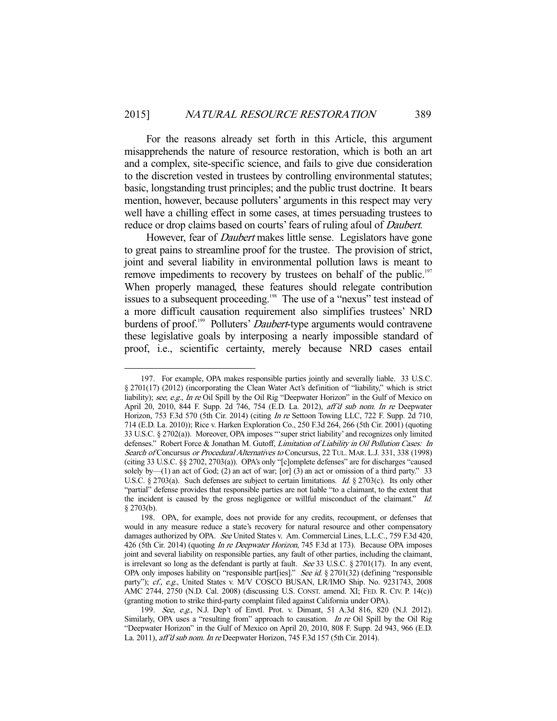For the reasons already set forth in this Article, this argument misapprehends the nature of resource restoration, which is both an art and a complex, site-specific science, and fails to give due consideration to the discretion vested in trustees by controlling environmental statutes; basic, longstanding trust principles; and the public trust doctrine. It bears mention, however, because polluters' arguments in this respect may very well have a chilling effect in some cases, at times persuading trustees to reduce or drop claims based on courts' fears of ruling afoul of *Daubert*.

However, fear of *Daubert* makes little sense. Legislators have gone to great pains to streamline proof for the trustee. The provision of strict, joint and several liability in environmental pollution laws is meant to remove impediments to recovery by trustees on behalf of the public.<sup>197</sup> When properly managed, these features should relegate contribution issues to a subsequent proceeding.<sup>198</sup> The use of a "nexus" test instead of a more difficult causation requirement also simplifies trustees' NRD burdens of proof.<sup>199</sup> Polluters' *Daubert*-type arguments would contravene these legislative goals by interposing a nearly impossible standard of proof, i.e., scientific certainty, merely because NRD cases entail

 <sup>197.</sup> For example, OPA makes responsible parties jointly and severally liable. 33 U.S.C. § 2701(17) (2012) (incorporating the Clean Water Act's definition of "liability," which is strict liability); see, e.g., In re Oil Spill by the Oil Rig "Deepwater Horizon" in the Gulf of Mexico on April 20, 2010, 844 F. Supp. 2d 746, 754 (E.D. La. 2012), aff'd sub nom. In re Deepwater Horizon, 753 F.3d 570 (5th Cir. 2014) (citing In re Settoon Towing LLC, 722 F. Supp. 2d 710, 714 (E.D. La. 2010)); Rice v. Harken Exploration Co., 250 F.3d 264, 266 (5th Cir. 2001) (quoting 33 U.S.C. § 2702(a)). Moreover, OPA imposes "'super strict liability' and recognizes only limited defenses." Robert Force & Jonathan M. Gutoff, Limitation of Liability in Oil Pollution Cases: In Search of Concursus or Procedural Alternatives to Concursus, 22 TUL. MAR. L.J. 331, 338 (1998) (citing 33 U.S.C. §§ 2702, 2703(a)). OPA's only "[c]omplete defenses" are for discharges "caused solely by—(1) an act of God; (2) an act of war; [or] (3) an act or omission of a third party." 33 U.S.C. § 2703(a). Such defenses are subject to certain limitations. Id. § 2703(c). Its only other "partial" defense provides that responsible parties are not liable "to a claimant, to the extent that the incident is caused by the gross negligence or willful misconduct of the claimant." Id.  $§$  2703(b).

 <sup>198.</sup> OPA, for example, does not provide for any credits, recoupment, or defenses that would in any measure reduce a state's recovery for natural resource and other compensatory damages authorized by OPA. See United States v. Am. Commercial Lines, L.L.C., 759 F.3d 420, 426 (5th Cir. 2014) (quoting *In re Deepwater Horizon*, 745 F.3d at 173). Because OPA imposes joint and several liability on responsible parties, any fault of other parties, including the claimant, is irrelevant so long as the defendant is partly at fault. See 33 U.S.C. § 2701(17). In any event, OPA only imposes liability on "responsible part[ies]." See id. § 2701(32) (defining "responsible party"); cf., e.g., United States v. M/V COSCO BUSAN, LR/IMO Ship. No. 9231743, 2008 AMC 2744, 2750 (N.D. Cal. 2008) (discussing U.S. CONST. amend. XI; FED. R. CIV. P. 14(c)) (granting motion to strike third-party complaint filed against California under OPA).

 <sup>199.</sup> See, e.g., N.J. Dep't of Envtl. Prot. v. Dimant, 51 A.3d 816, 820 (N.J. 2012). Similarly, OPA uses a "resulting from" approach to causation. In re Oil Spill by the Oil Rig "Deepwater Horizon" in the Gulf of Mexico on April 20, 2010, 808 F. Supp. 2d 943, 966 (E.D. La. 2011), aff'd sub nom. In re Deepwater Horizon, 745 F.3d 157 (5th Cir. 2014).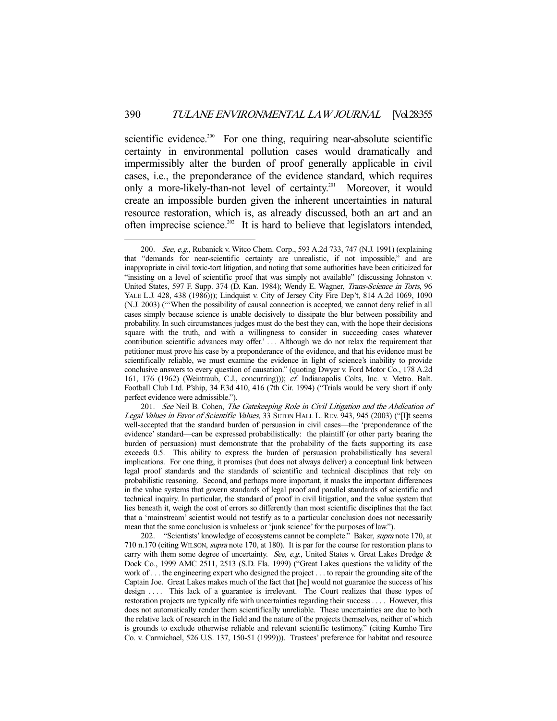scientific evidence.<sup>200</sup> For one thing, requiring near-absolute scientific certainty in environmental pollution cases would dramatically and impermissibly alter the burden of proof generally applicable in civil cases, i.e., the preponderance of the evidence standard, which requires only a more-likely-than-not level of certainty.<sup>201</sup> Moreover, it would create an impossible burden given the inherent uncertainties in natural resource restoration, which is, as already discussed, both an art and an often imprecise science.<sup>202</sup> It is hard to believe that legislators intended,

<sup>200.</sup> See, e.g., Rubanick v. Witco Chem. Corp., 593 A.2d 733, 747 (N.J. 1991) (explaining that "demands for near-scientific certainty are unrealistic, if not impossible," and are inappropriate in civil toxic-tort litigation, and noting that some authorities have been criticized for "insisting on a level of scientific proof that was simply not available" (discussing Johnston v. United States, 597 F. Supp. 374 (D. Kan. 1984); Wendy E. Wagner, Trans-Science in Torts, 96 YALE L.J. 428, 438 (1986))); Lindquist v. City of Jersey City Fire Dep't, 814 A.2d 1069, 1090 (N.J. 2003) ("'When the possibility of causal connection is accepted, we cannot deny relief in all cases simply because science is unable decisively to dissipate the blur between possibility and probability. In such circumstances judges must do the best they can, with the hope their decisions square with the truth, and with a willingness to consider in succeeding cases whatever contribution scientific advances may offer.' . . . Although we do not relax the requirement that petitioner must prove his case by a preponderance of the evidence, and that his evidence must be scientifically reliable, we must examine the evidence in light of science's inability to provide conclusive answers to every question of causation." (quoting Dwyer v. Ford Motor Co., 178 A.2d 161, 176 (1962) (Weintraub, C.J., concurring))); cf. Indianapolis Colts, Inc. v. Metro. Balt. Football Club Ltd. P'ship, 34 F.3d 410, 416 (7th Cir. 1994) ("Trials would be very short if only perfect evidence were admissible.").

<sup>201.</sup> See Neil B. Cohen, The Gatekeeping Role in Civil Litigation and the Abdication of Legal Values in Favor of Scientific Values, 33 SETON HALL L. REV. 943, 945 (2003) ("[I]t seems well-accepted that the standard burden of persuasion in civil cases—the 'preponderance of the evidence' standard—can be expressed probabilistically: the plaintiff (or other party bearing the burden of persuasion) must demonstrate that the probability of the facts supporting its case exceeds 0.5. This ability to express the burden of persuasion probabilistically has several implications. For one thing, it promises (but does not always deliver) a conceptual link between legal proof standards and the standards of scientific and technical disciplines that rely on probabilistic reasoning. Second, and perhaps more important, it masks the important differences in the value systems that govern standards of legal proof and parallel standards of scientific and technical inquiry. In particular, the standard of proof in civil litigation, and the value system that lies beneath it, weigh the cost of errors so differently than most scientific disciplines that the fact that a 'mainstream' scientist would not testify as to a particular conclusion does not necessarily mean that the same conclusion is valueless or 'junk science' for the purposes of law.").

<sup>202. &</sup>quot;Scientists' knowledge of ecosystems cannot be complete." Baker, *supra* note 170, at 710 n.170 (citing WILSON, supra note 170, at 180). It is par for the course for restoration plans to carry with them some degree of uncertainty. See, e.g., United States v. Great Lakes Dredge & Dock Co., 1999 AMC 2511, 2513 (S.D. Fla. 1999) ("Great Lakes questions the validity of the work of . . . the engineering expert who designed the project . . . to repair the grounding site of the Captain Joe. Great Lakes makes much of the fact that [he] would not guarantee the success of his design .... This lack of a guarantee is irrelevant. The Court realizes that these types of restoration projects are typically rife with uncertainties regarding their success . . . . However, this does not automatically render them scientifically unreliable. These uncertainties are due to both the relative lack of research in the field and the nature of the projects themselves, neither of which is grounds to exclude otherwise reliable and relevant scientific testimony." (citing Kumho Tire Co. v. Carmichael, 526 U.S. 137, 150-51 (1999))). Trustees' preference for habitat and resource